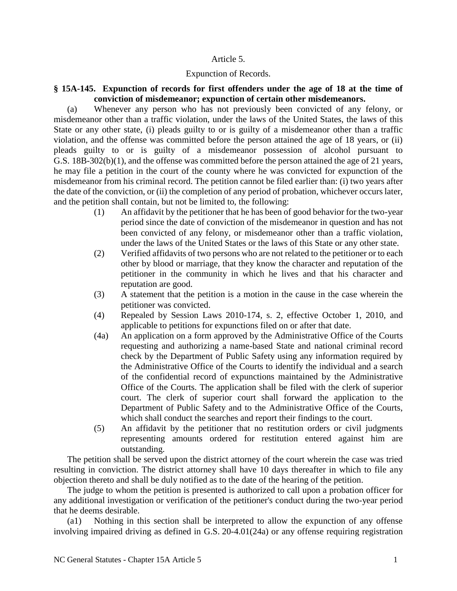## Article 5.

### Expunction of Records.

## **§ 15A-145. Expunction of records for first offenders under the age of 18 at the time of conviction of misdemeanor; expunction of certain other misdemeanors.**

(a) Whenever any person who has not previously been convicted of any felony, or misdemeanor other than a traffic violation, under the laws of the United States, the laws of this State or any other state, (i) pleads guilty to or is guilty of a misdemeanor other than a traffic violation, and the offense was committed before the person attained the age of 18 years, or (ii) pleads guilty to or is guilty of a misdemeanor possession of alcohol pursuant to G.S. 18B-302(b)(1), and the offense was committed before the person attained the age of 21 years, he may file a petition in the court of the county where he was convicted for expunction of the misdemeanor from his criminal record. The petition cannot be filed earlier than: (i) two years after the date of the conviction, or (ii) the completion of any period of probation, whichever occurs later, and the petition shall contain, but not be limited to, the following:

- (1) An affidavit by the petitioner that he has been of good behavior for the two-year period since the date of conviction of the misdemeanor in question and has not been convicted of any felony, or misdemeanor other than a traffic violation, under the laws of the United States or the laws of this State or any other state.
- (2) Verified affidavits of two persons who are not related to the petitioner or to each other by blood or marriage, that they know the character and reputation of the petitioner in the community in which he lives and that his character and reputation are good.
- (3) A statement that the petition is a motion in the cause in the case wherein the petitioner was convicted.
- (4) Repealed by Session Laws 2010-174, s. 2, effective October 1, 2010, and applicable to petitions for expunctions filed on or after that date.
- (4a) An application on a form approved by the Administrative Office of the Courts requesting and authorizing a name-based State and national criminal record check by the Department of Public Safety using any information required by the Administrative Office of the Courts to identify the individual and a search of the confidential record of expunctions maintained by the Administrative Office of the Courts. The application shall be filed with the clerk of superior court. The clerk of superior court shall forward the application to the Department of Public Safety and to the Administrative Office of the Courts, which shall conduct the searches and report their findings to the court.
- (5) An affidavit by the petitioner that no restitution orders or civil judgments representing amounts ordered for restitution entered against him are outstanding.

The petition shall be served upon the district attorney of the court wherein the case was tried resulting in conviction. The district attorney shall have 10 days thereafter in which to file any objection thereto and shall be duly notified as to the date of the hearing of the petition.

The judge to whom the petition is presented is authorized to call upon a probation officer for any additional investigation or verification of the petitioner's conduct during the two-year period that he deems desirable.

(a1) Nothing in this section shall be interpreted to allow the expunction of any offense involving impaired driving as defined in G.S. 20-4.01(24a) or any offense requiring registration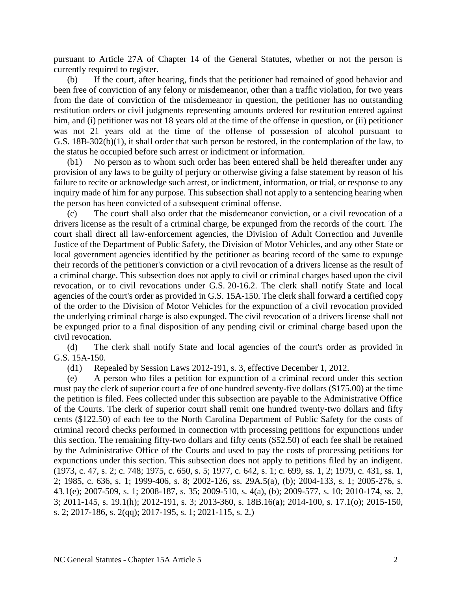pursuant to Article 27A of Chapter 14 of the General Statutes, whether or not the person is currently required to register.

(b) If the court, after hearing, finds that the petitioner had remained of good behavior and been free of conviction of any felony or misdemeanor, other than a traffic violation, for two years from the date of conviction of the misdemeanor in question, the petitioner has no outstanding restitution orders or civil judgments representing amounts ordered for restitution entered against him, and (i) petitioner was not 18 years old at the time of the offense in question, or (ii) petitioner was not 21 years old at the time of the offense of possession of alcohol pursuant to G.S. 18B-302(b)(1), it shall order that such person be restored, in the contemplation of the law, to the status he occupied before such arrest or indictment or information.

(b1) No person as to whom such order has been entered shall be held thereafter under any provision of any laws to be guilty of perjury or otherwise giving a false statement by reason of his failure to recite or acknowledge such arrest, or indictment, information, or trial, or response to any inquiry made of him for any purpose. This subsection shall not apply to a sentencing hearing when the person has been convicted of a subsequent criminal offense.

(c) The court shall also order that the misdemeanor conviction, or a civil revocation of a drivers license as the result of a criminal charge, be expunged from the records of the court. The court shall direct all law-enforcement agencies, the Division of Adult Correction and Juvenile Justice of the Department of Public Safety, the Division of Motor Vehicles, and any other State or local government agencies identified by the petitioner as bearing record of the same to expunge their records of the petitioner's conviction or a civil revocation of a drivers license as the result of a criminal charge. This subsection does not apply to civil or criminal charges based upon the civil revocation, or to civil revocations under G.S. 20-16.2. The clerk shall notify State and local agencies of the court's order as provided in G.S. 15A-150. The clerk shall forward a certified copy of the order to the Division of Motor Vehicles for the expunction of a civil revocation provided the underlying criminal charge is also expunged. The civil revocation of a drivers license shall not be expunged prior to a final disposition of any pending civil or criminal charge based upon the civil revocation.

(d) The clerk shall notify State and local agencies of the court's order as provided in G.S. 15A-150.

(d1) Repealed by Session Laws 2012-191, s. 3, effective December 1, 2012.

(e) A person who files a petition for expunction of a criminal record under this section must pay the clerk of superior court a fee of one hundred seventy-five dollars (\$175.00) at the time the petition is filed. Fees collected under this subsection are payable to the Administrative Office of the Courts. The clerk of superior court shall remit one hundred twenty-two dollars and fifty cents (\$122.50) of each fee to the North Carolina Department of Public Safety for the costs of criminal record checks performed in connection with processing petitions for expunctions under this section. The remaining fifty-two dollars and fifty cents (\$52.50) of each fee shall be retained by the Administrative Office of the Courts and used to pay the costs of processing petitions for expunctions under this section. This subsection does not apply to petitions filed by an indigent. (1973, c. 47, s. 2; c. 748; 1975, c. 650, s. 5; 1977, c. 642, s. 1; c. 699, ss. 1, 2; 1979, c. 431, ss. 1, 2; 1985, c. 636, s. 1; 1999-406, s. 8; 2002-126, ss. 29A.5(a), (b); 2004-133, s. 1; 2005-276, s. 43.1(e); 2007-509, s. 1; 2008-187, s. 35; 2009-510, s. 4(a), (b); 2009-577, s. 10; 2010-174, ss. 2, 3; 2011-145, s. 19.1(h); 2012-191, s. 3; 2013-360, s. 18B.16(a); 2014-100, s. 17.1(o); 2015-150, s. 2; 2017-186, s. 2(qq); 2017-195, s. 1; 2021-115, s. 2.)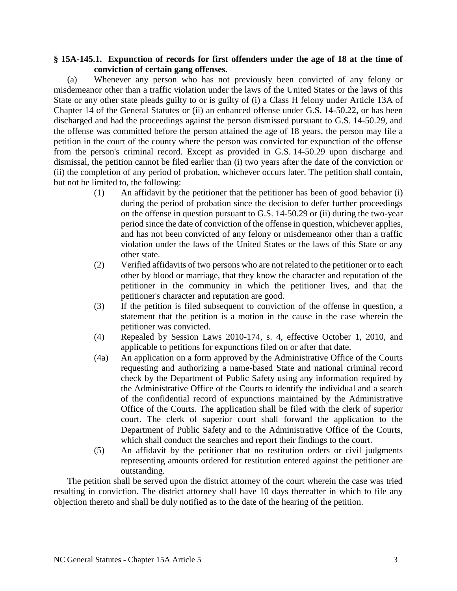## **§ 15A-145.1. Expunction of records for first offenders under the age of 18 at the time of conviction of certain gang offenses.**

(a) Whenever any person who has not previously been convicted of any felony or misdemeanor other than a traffic violation under the laws of the United States or the laws of this State or any other state pleads guilty to or is guilty of (i) a Class H felony under Article 13A of Chapter 14 of the General Statutes or (ii) an enhanced offense under G.S. 14-50.22, or has been discharged and had the proceedings against the person dismissed pursuant to G.S. 14-50.29, and the offense was committed before the person attained the age of 18 years, the person may file a petition in the court of the county where the person was convicted for expunction of the offense from the person's criminal record. Except as provided in G.S. 14-50.29 upon discharge and dismissal, the petition cannot be filed earlier than (i) two years after the date of the conviction or (ii) the completion of any period of probation, whichever occurs later. The petition shall contain, but not be limited to, the following:

- (1) An affidavit by the petitioner that the petitioner has been of good behavior (i) during the period of probation since the decision to defer further proceedings on the offense in question pursuant to G.S. 14-50.29 or (ii) during the two-year period since the date of conviction of the offense in question, whichever applies, and has not been convicted of any felony or misdemeanor other than a traffic violation under the laws of the United States or the laws of this State or any other state.
- (2) Verified affidavits of two persons who are not related to the petitioner or to each other by blood or marriage, that they know the character and reputation of the petitioner in the community in which the petitioner lives, and that the petitioner's character and reputation are good.
- (3) If the petition is filed subsequent to conviction of the offense in question, a statement that the petition is a motion in the cause in the case wherein the petitioner was convicted.
- (4) Repealed by Session Laws 2010-174, s. 4, effective October 1, 2010, and applicable to petitions for expunctions filed on or after that date.
- (4a) An application on a form approved by the Administrative Office of the Courts requesting and authorizing a name-based State and national criminal record check by the Department of Public Safety using any information required by the Administrative Office of the Courts to identify the individual and a search of the confidential record of expunctions maintained by the Administrative Office of the Courts. The application shall be filed with the clerk of superior court. The clerk of superior court shall forward the application to the Department of Public Safety and to the Administrative Office of the Courts, which shall conduct the searches and report their findings to the court.
- (5) An affidavit by the petitioner that no restitution orders or civil judgments representing amounts ordered for restitution entered against the petitioner are outstanding.

The petition shall be served upon the district attorney of the court wherein the case was tried resulting in conviction. The district attorney shall have 10 days thereafter in which to file any objection thereto and shall be duly notified as to the date of the hearing of the petition.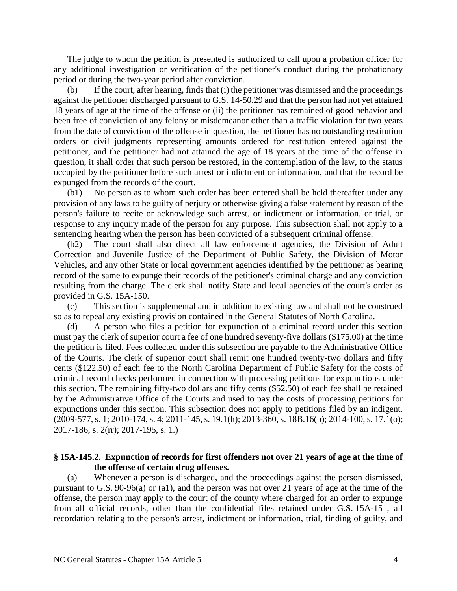The judge to whom the petition is presented is authorized to call upon a probation officer for any additional investigation or verification of the petitioner's conduct during the probationary period or during the two-year period after conviction.

If the court, after hearing, finds that (i) the petitioner was dismissed and the proceedings against the petitioner discharged pursuant to G.S. 14-50.29 and that the person had not yet attained 18 years of age at the time of the offense or (ii) the petitioner has remained of good behavior and been free of conviction of any felony or misdemeanor other than a traffic violation for two years from the date of conviction of the offense in question, the petitioner has no outstanding restitution orders or civil judgments representing amounts ordered for restitution entered against the petitioner, and the petitioner had not attained the age of 18 years at the time of the offense in question, it shall order that such person be restored, in the contemplation of the law, to the status occupied by the petitioner before such arrest or indictment or information, and that the record be expunged from the records of the court.

(b1) No person as to whom such order has been entered shall be held thereafter under any provision of any laws to be guilty of perjury or otherwise giving a false statement by reason of the person's failure to recite or acknowledge such arrest, or indictment or information, or trial, or response to any inquiry made of the person for any purpose. This subsection shall not apply to a sentencing hearing when the person has been convicted of a subsequent criminal offense.

(b2) The court shall also direct all law enforcement agencies, the Division of Adult Correction and Juvenile Justice of the Department of Public Safety, the Division of Motor Vehicles, and any other State or local government agencies identified by the petitioner as bearing record of the same to expunge their records of the petitioner's criminal charge and any conviction resulting from the charge. The clerk shall notify State and local agencies of the court's order as provided in G.S. 15A-150.

(c) This section is supplemental and in addition to existing law and shall not be construed so as to repeal any existing provision contained in the General Statutes of North Carolina.

(d) A person who files a petition for expunction of a criminal record under this section must pay the clerk of superior court a fee of one hundred seventy-five dollars (\$175.00) at the time the petition is filed. Fees collected under this subsection are payable to the Administrative Office of the Courts. The clerk of superior court shall remit one hundred twenty-two dollars and fifty cents (\$122.50) of each fee to the North Carolina Department of Public Safety for the costs of criminal record checks performed in connection with processing petitions for expunctions under this section. The remaining fifty-two dollars and fifty cents (\$52.50) of each fee shall be retained by the Administrative Office of the Courts and used to pay the costs of processing petitions for expunctions under this section. This subsection does not apply to petitions filed by an indigent. (2009-577, s. 1; 2010-174, s. 4; 2011-145, s. 19.1(h); 2013-360, s. 18B.16(b); 2014-100, s. 17.1(o); 2017-186, s. 2(rr); 2017-195, s. 1.)

### **§ 15A-145.2. Expunction of records for first offenders not over 21 years of age at the time of the offense of certain drug offenses.**

(a) Whenever a person is discharged, and the proceedings against the person dismissed, pursuant to G.S. 90-96(a) or (a1), and the person was not over 21 years of age at the time of the offense, the person may apply to the court of the county where charged for an order to expunge from all official records, other than the confidential files retained under G.S. 15A-151, all recordation relating to the person's arrest, indictment or information, trial, finding of guilty, and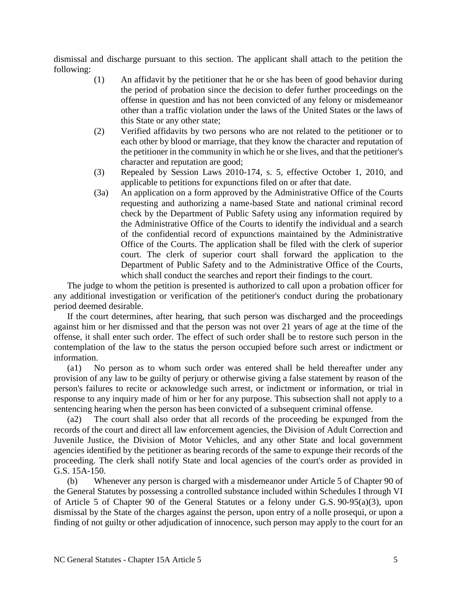dismissal and discharge pursuant to this section. The applicant shall attach to the petition the following:

- (1) An affidavit by the petitioner that he or she has been of good behavior during the period of probation since the decision to defer further proceedings on the offense in question and has not been convicted of any felony or misdemeanor other than a traffic violation under the laws of the United States or the laws of this State or any other state;
- (2) Verified affidavits by two persons who are not related to the petitioner or to each other by blood or marriage, that they know the character and reputation of the petitioner in the community in which he or she lives, and that the petitioner's character and reputation are good;
- (3) Repealed by Session Laws 2010-174, s. 5, effective October 1, 2010, and applicable to petitions for expunctions filed on or after that date.
- (3a) An application on a form approved by the Administrative Office of the Courts requesting and authorizing a name-based State and national criminal record check by the Department of Public Safety using any information required by the Administrative Office of the Courts to identify the individual and a search of the confidential record of expunctions maintained by the Administrative Office of the Courts. The application shall be filed with the clerk of superior court. The clerk of superior court shall forward the application to the Department of Public Safety and to the Administrative Office of the Courts, which shall conduct the searches and report their findings to the court.

The judge to whom the petition is presented is authorized to call upon a probation officer for any additional investigation or verification of the petitioner's conduct during the probationary period deemed desirable.

If the court determines, after hearing, that such person was discharged and the proceedings against him or her dismissed and that the person was not over 21 years of age at the time of the offense, it shall enter such order. The effect of such order shall be to restore such person in the contemplation of the law to the status the person occupied before such arrest or indictment or information.

(a1) No person as to whom such order was entered shall be held thereafter under any provision of any law to be guilty of perjury or otherwise giving a false statement by reason of the person's failures to recite or acknowledge such arrest, or indictment or information, or trial in response to any inquiry made of him or her for any purpose. This subsection shall not apply to a sentencing hearing when the person has been convicted of a subsequent criminal offense.

The court shall also order that all records of the proceeding be expunged from the records of the court and direct all law enforcement agencies, the Division of Adult Correction and Juvenile Justice, the Division of Motor Vehicles, and any other State and local government agencies identified by the petitioner as bearing records of the same to expunge their records of the proceeding. The clerk shall notify State and local agencies of the court's order as provided in G.S. 15A-150.

(b) Whenever any person is charged with a misdemeanor under Article 5 of Chapter 90 of the General Statutes by possessing a controlled substance included within Schedules I through VI of Article 5 of Chapter 90 of the General Statutes or a felony under G.S. 90-95(a)(3), upon dismissal by the State of the charges against the person, upon entry of a nolle prosequi, or upon a finding of not guilty or other adjudication of innocence, such person may apply to the court for an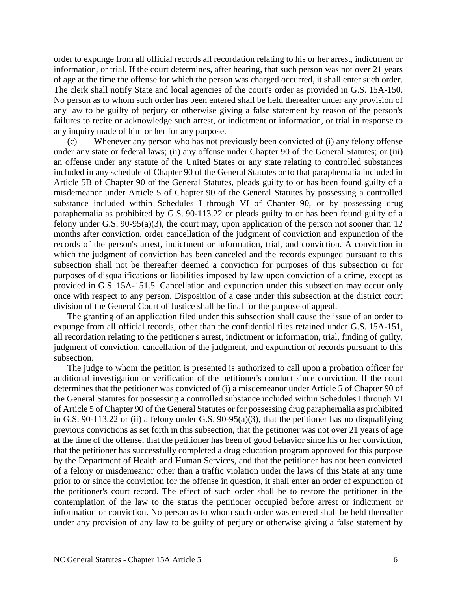order to expunge from all official records all recordation relating to his or her arrest, indictment or information, or trial. If the court determines, after hearing, that such person was not over 21 years of age at the time the offense for which the person was charged occurred, it shall enter such order. The clerk shall notify State and local agencies of the court's order as provided in G.S. 15A-150. No person as to whom such order has been entered shall be held thereafter under any provision of any law to be guilty of perjury or otherwise giving a false statement by reason of the person's failures to recite or acknowledge such arrest, or indictment or information, or trial in response to any inquiry made of him or her for any purpose.

(c) Whenever any person who has not previously been convicted of (i) any felony offense under any state or federal laws; (ii) any offense under Chapter 90 of the General Statutes; or (iii) an offense under any statute of the United States or any state relating to controlled substances included in any schedule of Chapter 90 of the General Statutes or to that paraphernalia included in Article 5B of Chapter 90 of the General Statutes, pleads guilty to or has been found guilty of a misdemeanor under Article 5 of Chapter 90 of the General Statutes by possessing a controlled substance included within Schedules I through VI of Chapter 90, or by possessing drug paraphernalia as prohibited by G.S. 90-113.22 or pleads guilty to or has been found guilty of a felony under G.S. 90-95(a)(3), the court may, upon application of the person not sooner than 12 months after conviction, order cancellation of the judgment of conviction and expunction of the records of the person's arrest, indictment or information, trial, and conviction. A conviction in which the judgment of conviction has been canceled and the records expunged pursuant to this subsection shall not be thereafter deemed a conviction for purposes of this subsection or for purposes of disqualifications or liabilities imposed by law upon conviction of a crime, except as provided in G.S. 15A-151.5. Cancellation and expunction under this subsection may occur only once with respect to any person. Disposition of a case under this subsection at the district court division of the General Court of Justice shall be final for the purpose of appeal.

The granting of an application filed under this subsection shall cause the issue of an order to expunge from all official records, other than the confidential files retained under G.S. 15A-151, all recordation relating to the petitioner's arrest, indictment or information, trial, finding of guilty, judgment of conviction, cancellation of the judgment, and expunction of records pursuant to this subsection.

The judge to whom the petition is presented is authorized to call upon a probation officer for additional investigation or verification of the petitioner's conduct since conviction. If the court determines that the petitioner was convicted of (i) a misdemeanor under Article 5 of Chapter 90 of the General Statutes for possessing a controlled substance included within Schedules I through VI of Article 5 of Chapter 90 of the General Statutes or for possessing drug paraphernalia as prohibited in G.S. 90-113.22 or (ii) a felony under G.S. 90-95(a)(3), that the petitioner has no disqualifying previous convictions as set forth in this subsection, that the petitioner was not over 21 years of age at the time of the offense, that the petitioner has been of good behavior since his or her conviction, that the petitioner has successfully completed a drug education program approved for this purpose by the Department of Health and Human Services, and that the petitioner has not been convicted of a felony or misdemeanor other than a traffic violation under the laws of this State at any time prior to or since the conviction for the offense in question, it shall enter an order of expunction of the petitioner's court record. The effect of such order shall be to restore the petitioner in the contemplation of the law to the status the petitioner occupied before arrest or indictment or information or conviction. No person as to whom such order was entered shall be held thereafter under any provision of any law to be guilty of perjury or otherwise giving a false statement by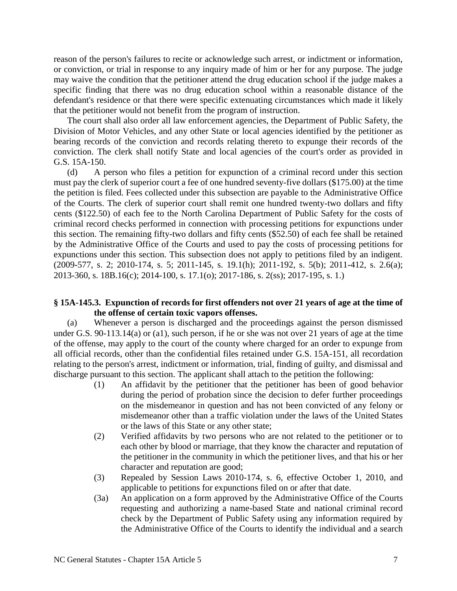reason of the person's failures to recite or acknowledge such arrest, or indictment or information, or conviction, or trial in response to any inquiry made of him or her for any purpose. The judge may waive the condition that the petitioner attend the drug education school if the judge makes a specific finding that there was no drug education school within a reasonable distance of the defendant's residence or that there were specific extenuating circumstances which made it likely that the petitioner would not benefit from the program of instruction.

The court shall also order all law enforcement agencies, the Department of Public Safety, the Division of Motor Vehicles, and any other State or local agencies identified by the petitioner as bearing records of the conviction and records relating thereto to expunge their records of the conviction. The clerk shall notify State and local agencies of the court's order as provided in G.S. 15A-150.

(d) A person who files a petition for expunction of a criminal record under this section must pay the clerk of superior court a fee of one hundred seventy-five dollars (\$175.00) at the time the petition is filed. Fees collected under this subsection are payable to the Administrative Office of the Courts. The clerk of superior court shall remit one hundred twenty-two dollars and fifty cents (\$122.50) of each fee to the North Carolina Department of Public Safety for the costs of criminal record checks performed in connection with processing petitions for expunctions under this section. The remaining fifty-two dollars and fifty cents (\$52.50) of each fee shall be retained by the Administrative Office of the Courts and used to pay the costs of processing petitions for expunctions under this section. This subsection does not apply to petitions filed by an indigent. (2009-577, s. 2; 2010-174, s. 5; 2011-145, s. 19.1(h); 2011-192, s. 5(b); 2011-412, s. 2.6(a); 2013-360, s. 18B.16(c); 2014-100, s. 17.1(o); 2017-186, s. 2(ss); 2017-195, s. 1.)

#### **§ 15A-145.3. Expunction of records for first offenders not over 21 years of age at the time of the offense of certain toxic vapors offenses.**

(a) Whenever a person is discharged and the proceedings against the person dismissed under G.S. 90-113.14(a) or (a1), such person, if he or she was not over 21 years of age at the time of the offense, may apply to the court of the county where charged for an order to expunge from all official records, other than the confidential files retained under G.S. 15A-151, all recordation relating to the person's arrest, indictment or information, trial, finding of guilty, and dismissal and discharge pursuant to this section. The applicant shall attach to the petition the following:

- (1) An affidavit by the petitioner that the petitioner has been of good behavior during the period of probation since the decision to defer further proceedings on the misdemeanor in question and has not been convicted of any felony or misdemeanor other than a traffic violation under the laws of the United States or the laws of this State or any other state;
- (2) Verified affidavits by two persons who are not related to the petitioner or to each other by blood or marriage, that they know the character and reputation of the petitioner in the community in which the petitioner lives, and that his or her character and reputation are good;
- (3) Repealed by Session Laws 2010-174, s. 6, effective October 1, 2010, and applicable to petitions for expunctions filed on or after that date.
- (3a) An application on a form approved by the Administrative Office of the Courts requesting and authorizing a name-based State and national criminal record check by the Department of Public Safety using any information required by the Administrative Office of the Courts to identify the individual and a search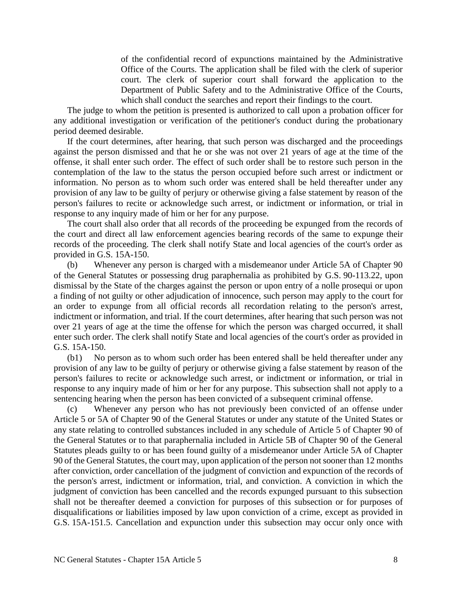of the confidential record of expunctions maintained by the Administrative Office of the Courts. The application shall be filed with the clerk of superior court. The clerk of superior court shall forward the application to the Department of Public Safety and to the Administrative Office of the Courts, which shall conduct the searches and report their findings to the court.

The judge to whom the petition is presented is authorized to call upon a probation officer for any additional investigation or verification of the petitioner's conduct during the probationary period deemed desirable.

If the court determines, after hearing, that such person was discharged and the proceedings against the person dismissed and that he or she was not over 21 years of age at the time of the offense, it shall enter such order. The effect of such order shall be to restore such person in the contemplation of the law to the status the person occupied before such arrest or indictment or information. No person as to whom such order was entered shall be held thereafter under any provision of any law to be guilty of perjury or otherwise giving a false statement by reason of the person's failures to recite or acknowledge such arrest, or indictment or information, or trial in response to any inquiry made of him or her for any purpose.

The court shall also order that all records of the proceeding be expunged from the records of the court and direct all law enforcement agencies bearing records of the same to expunge their records of the proceeding. The clerk shall notify State and local agencies of the court's order as provided in G.S. 15A-150.

(b) Whenever any person is charged with a misdemeanor under Article 5A of Chapter 90 of the General Statutes or possessing drug paraphernalia as prohibited by G.S. 90-113.22, upon dismissal by the State of the charges against the person or upon entry of a nolle prosequi or upon a finding of not guilty or other adjudication of innocence, such person may apply to the court for an order to expunge from all official records all recordation relating to the person's arrest, indictment or information, and trial. If the court determines, after hearing that such person was not over 21 years of age at the time the offense for which the person was charged occurred, it shall enter such order. The clerk shall notify State and local agencies of the court's order as provided in G.S. 15A-150.

(b1) No person as to whom such order has been entered shall be held thereafter under any provision of any law to be guilty of perjury or otherwise giving a false statement by reason of the person's failures to recite or acknowledge such arrest, or indictment or information, or trial in response to any inquiry made of him or her for any purpose. This subsection shall not apply to a sentencing hearing when the person has been convicted of a subsequent criminal offense.

(c) Whenever any person who has not previously been convicted of an offense under Article 5 or 5A of Chapter 90 of the General Statutes or under any statute of the United States or any state relating to controlled substances included in any schedule of Article 5 of Chapter 90 of the General Statutes or to that paraphernalia included in Article 5B of Chapter 90 of the General Statutes pleads guilty to or has been found guilty of a misdemeanor under Article 5A of Chapter 90 of the General Statutes, the court may, upon application of the person not sooner than 12 months after conviction, order cancellation of the judgment of conviction and expunction of the records of the person's arrest, indictment or information, trial, and conviction. A conviction in which the judgment of conviction has been cancelled and the records expunged pursuant to this subsection shall not be thereafter deemed a conviction for purposes of this subsection or for purposes of disqualifications or liabilities imposed by law upon conviction of a crime, except as provided in G.S. 15A-151.5. Cancellation and expunction under this subsection may occur only once with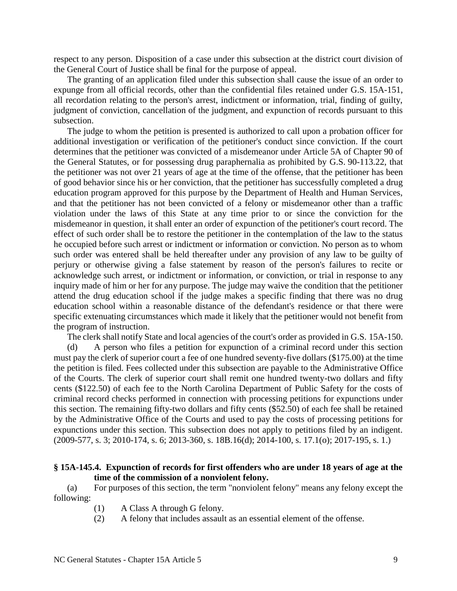respect to any person. Disposition of a case under this subsection at the district court division of the General Court of Justice shall be final for the purpose of appeal.

The granting of an application filed under this subsection shall cause the issue of an order to expunge from all official records, other than the confidential files retained under G.S. 15A-151, all recordation relating to the person's arrest, indictment or information, trial, finding of guilty, judgment of conviction, cancellation of the judgment, and expunction of records pursuant to this subsection.

The judge to whom the petition is presented is authorized to call upon a probation officer for additional investigation or verification of the petitioner's conduct since conviction. If the court determines that the petitioner was convicted of a misdemeanor under Article 5A of Chapter 90 of the General Statutes, or for possessing drug paraphernalia as prohibited by G.S. 90-113.22, that the petitioner was not over 21 years of age at the time of the offense, that the petitioner has been of good behavior since his or her conviction, that the petitioner has successfully completed a drug education program approved for this purpose by the Department of Health and Human Services, and that the petitioner has not been convicted of a felony or misdemeanor other than a traffic violation under the laws of this State at any time prior to or since the conviction for the misdemeanor in question, it shall enter an order of expunction of the petitioner's court record. The effect of such order shall be to restore the petitioner in the contemplation of the law to the status he occupied before such arrest or indictment or information or conviction. No person as to whom such order was entered shall be held thereafter under any provision of any law to be guilty of perjury or otherwise giving a false statement by reason of the person's failures to recite or acknowledge such arrest, or indictment or information, or conviction, or trial in response to any inquiry made of him or her for any purpose. The judge may waive the condition that the petitioner attend the drug education school if the judge makes a specific finding that there was no drug education school within a reasonable distance of the defendant's residence or that there were specific extenuating circumstances which made it likely that the petitioner would not benefit from the program of instruction.

The clerk shall notify State and local agencies of the court's order as provided in G.S. 15A-150.

(d) A person who files a petition for expunction of a criminal record under this section must pay the clerk of superior court a fee of one hundred seventy-five dollars (\$175.00) at the time the petition is filed. Fees collected under this subsection are payable to the Administrative Office of the Courts. The clerk of superior court shall remit one hundred twenty-two dollars and fifty cents (\$122.50) of each fee to the North Carolina Department of Public Safety for the costs of criminal record checks performed in connection with processing petitions for expunctions under this section. The remaining fifty-two dollars and fifty cents (\$52.50) of each fee shall be retained by the Administrative Office of the Courts and used to pay the costs of processing petitions for expunctions under this section. This subsection does not apply to petitions filed by an indigent. (2009-577, s. 3; 2010-174, s. 6; 2013-360, s. 18B.16(d); 2014-100, s. 17.1(o); 2017-195, s. 1.)

#### **§ 15A-145.4. Expunction of records for first offenders who are under 18 years of age at the time of the commission of a nonviolent felony.**

(a) For purposes of this section, the term "nonviolent felony" means any felony except the following:

- (1) A Class A through G felony.
- (2) A felony that includes assault as an essential element of the offense.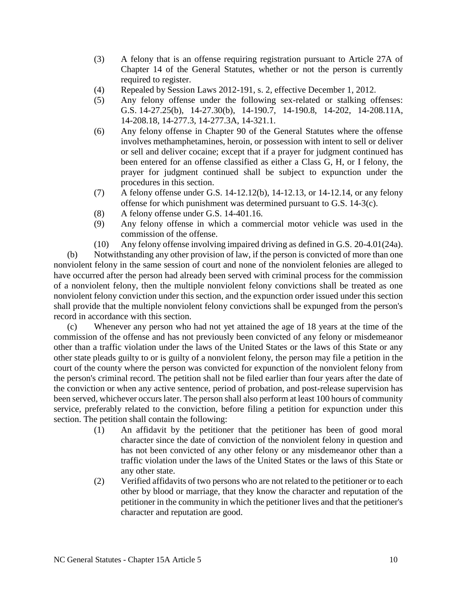- (3) A felony that is an offense requiring registration pursuant to Article 27A of Chapter 14 of the General Statutes, whether or not the person is currently required to register.
- (4) Repealed by Session Laws 2012-191, s. 2, effective December 1, 2012.
- (5) Any felony offense under the following sex-related or stalking offenses: G.S. 14-27.25(b), 14-27.30(b), 14-190.7, 14-190.8, 14-202, 14-208.11A, 14-208.18, 14-277.3, 14-277.3A, 14-321.1.
- (6) Any felony offense in Chapter 90 of the General Statutes where the offense involves methamphetamines, heroin, or possession with intent to sell or deliver or sell and deliver cocaine; except that if a prayer for judgment continued has been entered for an offense classified as either a Class G, H, or I felony, the prayer for judgment continued shall be subject to expunction under the procedures in this section.
- (7) A felony offense under G.S. 14-12.12(b), 14-12.13, or 14-12.14, or any felony offense for which punishment was determined pursuant to G.S. 14-3(c).
- (8) A felony offense under G.S. 14-401.16.
- (9) Any felony offense in which a commercial motor vehicle was used in the commission of the offense.

(10) Any felony offense involving impaired driving as defined in G.S. 20-4.01(24a). (b) Notwithstanding any other provision of law, if the person is convicted of more than one nonviolent felony in the same session of court and none of the nonviolent felonies are alleged to have occurred after the person had already been served with criminal process for the commission of a nonviolent felony, then the multiple nonviolent felony convictions shall be treated as one nonviolent felony conviction under this section, and the expunction order issued under this section shall provide that the multiple nonviolent felony convictions shall be expunged from the person's record in accordance with this section.

(c) Whenever any person who had not yet attained the age of 18 years at the time of the commission of the offense and has not previously been convicted of any felony or misdemeanor other than a traffic violation under the laws of the United States or the laws of this State or any other state pleads guilty to or is guilty of a nonviolent felony, the person may file a petition in the court of the county where the person was convicted for expunction of the nonviolent felony from the person's criminal record. The petition shall not be filed earlier than four years after the date of the conviction or when any active sentence, period of probation, and post-release supervision has been served, whichever occurs later. The person shall also perform at least 100 hours of community service, preferably related to the conviction, before filing a petition for expunction under this section. The petition shall contain the following:

- (1) An affidavit by the petitioner that the petitioner has been of good moral character since the date of conviction of the nonviolent felony in question and has not been convicted of any other felony or any misdemeanor other than a traffic violation under the laws of the United States or the laws of this State or any other state.
- (2) Verified affidavits of two persons who are not related to the petitioner or to each other by blood or marriage, that they know the character and reputation of the petitioner in the community in which the petitioner lives and that the petitioner's character and reputation are good.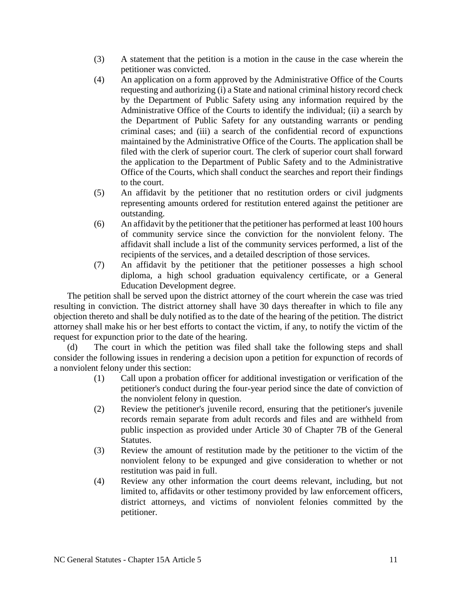- (3) A statement that the petition is a motion in the cause in the case wherein the petitioner was convicted.
- (4) An application on a form approved by the Administrative Office of the Courts requesting and authorizing (i) a State and national criminal history record check by the Department of Public Safety using any information required by the Administrative Office of the Courts to identify the individual; (ii) a search by the Department of Public Safety for any outstanding warrants or pending criminal cases; and (iii) a search of the confidential record of expunctions maintained by the Administrative Office of the Courts. The application shall be filed with the clerk of superior court. The clerk of superior court shall forward the application to the Department of Public Safety and to the Administrative Office of the Courts, which shall conduct the searches and report their findings to the court.
- (5) An affidavit by the petitioner that no restitution orders or civil judgments representing amounts ordered for restitution entered against the petitioner are outstanding.
- (6) An affidavit by the petitioner that the petitioner has performed at least 100 hours of community service since the conviction for the nonviolent felony. The affidavit shall include a list of the community services performed, a list of the recipients of the services, and a detailed description of those services.
- (7) An affidavit by the petitioner that the petitioner possesses a high school diploma, a high school graduation equivalency certificate, or a General Education Development degree.

The petition shall be served upon the district attorney of the court wherein the case was tried resulting in conviction. The district attorney shall have 30 days thereafter in which to file any objection thereto and shall be duly notified as to the date of the hearing of the petition. The district attorney shall make his or her best efforts to contact the victim, if any, to notify the victim of the request for expunction prior to the date of the hearing.

(d) The court in which the petition was filed shall take the following steps and shall consider the following issues in rendering a decision upon a petition for expunction of records of a nonviolent felony under this section:

- (1) Call upon a probation officer for additional investigation or verification of the petitioner's conduct during the four-year period since the date of conviction of the nonviolent felony in question.
- (2) Review the petitioner's juvenile record, ensuring that the petitioner's juvenile records remain separate from adult records and files and are withheld from public inspection as provided under Article 30 of Chapter 7B of the General Statutes.
- (3) Review the amount of restitution made by the petitioner to the victim of the nonviolent felony to be expunged and give consideration to whether or not restitution was paid in full.
- (4) Review any other information the court deems relevant, including, but not limited to, affidavits or other testimony provided by law enforcement officers, district attorneys, and victims of nonviolent felonies committed by the petitioner.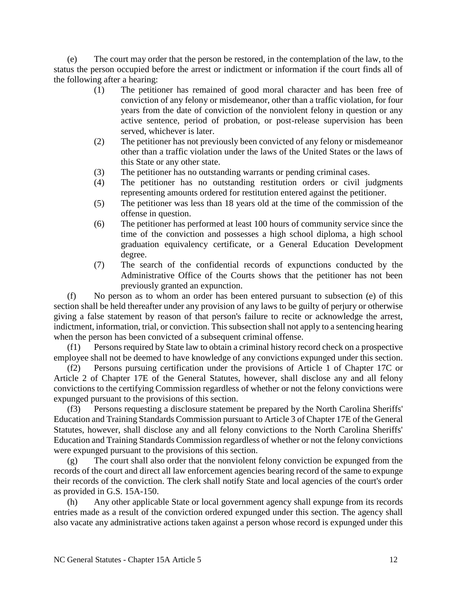(e) The court may order that the person be restored, in the contemplation of the law, to the status the person occupied before the arrest or indictment or information if the court finds all of the following after a hearing:

- (1) The petitioner has remained of good moral character and has been free of conviction of any felony or misdemeanor, other than a traffic violation, for four years from the date of conviction of the nonviolent felony in question or any active sentence, period of probation, or post-release supervision has been served, whichever is later.
- (2) The petitioner has not previously been convicted of any felony or misdemeanor other than a traffic violation under the laws of the United States or the laws of this State or any other state.
- (3) The petitioner has no outstanding warrants or pending criminal cases.
- (4) The petitioner has no outstanding restitution orders or civil judgments representing amounts ordered for restitution entered against the petitioner.
- (5) The petitioner was less than 18 years old at the time of the commission of the offense in question.
- (6) The petitioner has performed at least 100 hours of community service since the time of the conviction and possesses a high school diploma, a high school graduation equivalency certificate, or a General Education Development degree.
- (7) The search of the confidential records of expunctions conducted by the Administrative Office of the Courts shows that the petitioner has not been previously granted an expunction.

(f) No person as to whom an order has been entered pursuant to subsection (e) of this section shall be held thereafter under any provision of any laws to be guilty of perjury or otherwise giving a false statement by reason of that person's failure to recite or acknowledge the arrest, indictment, information, trial, or conviction. This subsection shall not apply to a sentencing hearing when the person has been convicted of a subsequent criminal offense.

(f1) Persons required by State law to obtain a criminal history record check on a prospective employee shall not be deemed to have knowledge of any convictions expunged under this section.

(f2) Persons pursuing certification under the provisions of Article 1 of Chapter 17C or Article 2 of Chapter 17E of the General Statutes, however, shall disclose any and all felony convictions to the certifying Commission regardless of whether or not the felony convictions were expunged pursuant to the provisions of this section.

(f3) Persons requesting a disclosure statement be prepared by the North Carolina Sheriffs' Education and Training Standards Commission pursuant to Article 3 of Chapter 17E of the General Statutes, however, shall disclose any and all felony convictions to the North Carolina Sheriffs' Education and Training Standards Commission regardless of whether or not the felony convictions were expunged pursuant to the provisions of this section.

(g) The court shall also order that the nonviolent felony conviction be expunged from the records of the court and direct all law enforcement agencies bearing record of the same to expunge their records of the conviction. The clerk shall notify State and local agencies of the court's order as provided in G.S. 15A-150.

(h) Any other applicable State or local government agency shall expunge from its records entries made as a result of the conviction ordered expunged under this section. The agency shall also vacate any administrative actions taken against a person whose record is expunged under this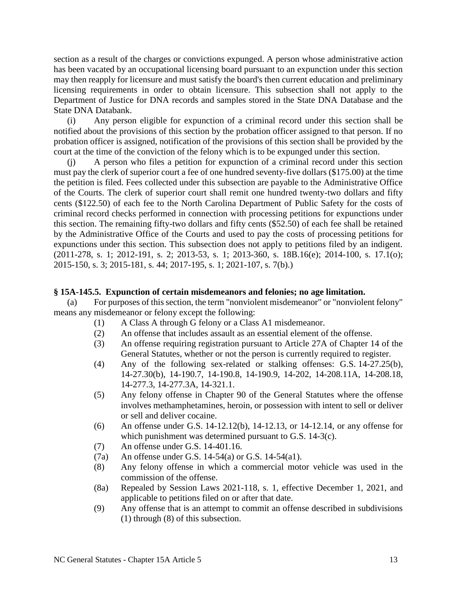section as a result of the charges or convictions expunged. A person whose administrative action has been vacated by an occupational licensing board pursuant to an expunction under this section may then reapply for licensure and must satisfy the board's then current education and preliminary licensing requirements in order to obtain licensure. This subsection shall not apply to the Department of Justice for DNA records and samples stored in the State DNA Database and the State DNA Databank.

(i) Any person eligible for expunction of a criminal record under this section shall be notified about the provisions of this section by the probation officer assigned to that person. If no probation officer is assigned, notification of the provisions of this section shall be provided by the court at the time of the conviction of the felony which is to be expunged under this section.

(j) A person who files a petition for expunction of a criminal record under this section must pay the clerk of superior court a fee of one hundred seventy-five dollars (\$175.00) at the time the petition is filed. Fees collected under this subsection are payable to the Administrative Office of the Courts. The clerk of superior court shall remit one hundred twenty-two dollars and fifty cents (\$122.50) of each fee to the North Carolina Department of Public Safety for the costs of criminal record checks performed in connection with processing petitions for expunctions under this section. The remaining fifty-two dollars and fifty cents (\$52.50) of each fee shall be retained by the Administrative Office of the Courts and used to pay the costs of processing petitions for expunctions under this section. This subsection does not apply to petitions filed by an indigent. (2011-278, s. 1; 2012-191, s. 2; 2013-53, s. 1; 2013-360, s. 18B.16(e); 2014-100, s. 17.1(o); 2015-150, s. 3; 2015-181, s. 44; 2017-195, s. 1; 2021-107, s. 7(b).)

#### **§ 15A-145.5. Expunction of certain misdemeanors and felonies; no age limitation.**

(a) For purposes of this section, the term "nonviolent misdemeanor" or "nonviolent felony" means any misdemeanor or felony except the following:

- (1) A Class A through G felony or a Class A1 misdemeanor.
- (2) An offense that includes assault as an essential element of the offense.
- (3) An offense requiring registration pursuant to Article 27A of Chapter 14 of the General Statutes, whether or not the person is currently required to register.
- (4) Any of the following sex-related or stalking offenses: G.S. 14-27.25(b), 14-27.30(b), 14-190.7, 14-190.8, 14-190.9, 14-202, 14-208.11A, 14-208.18, 14-277.3, 14-277.3A, 14-321.1.
- (5) Any felony offense in Chapter 90 of the General Statutes where the offense involves methamphetamines, heroin, or possession with intent to sell or deliver or sell and deliver cocaine.
- (6) An offense under G.S. 14-12.12(b), 14-12.13, or 14-12.14, or any offense for which punishment was determined pursuant to G.S. 14-3(c).
- (7) An offense under G.S. 14-401.16.
- (7a) An offense under G.S. 14-54(a) or G.S. 14-54(a1).
- (8) Any felony offense in which a commercial motor vehicle was used in the commission of the offense.
- (8a) Repealed by Session Laws 2021-118, s. 1, effective December 1, 2021, and applicable to petitions filed on or after that date.
- (9) Any offense that is an attempt to commit an offense described in subdivisions (1) through (8) of this subsection.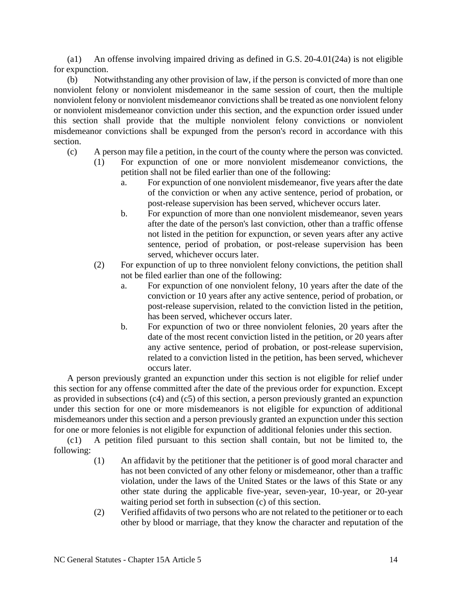(a1) An offense involving impaired driving as defined in G.S. 20-4.01(24a) is not eligible for expunction.

(b) Notwithstanding any other provision of law, if the person is convicted of more than one nonviolent felony or nonviolent misdemeanor in the same session of court, then the multiple nonviolent felony or nonviolent misdemeanor convictions shall be treated as one nonviolent felony or nonviolent misdemeanor conviction under this section, and the expunction order issued under this section shall provide that the multiple nonviolent felony convictions or nonviolent misdemeanor convictions shall be expunged from the person's record in accordance with this section.

- (c) A person may file a petition, in the court of the county where the person was convicted.
	- (1) For expunction of one or more nonviolent misdemeanor convictions, the petition shall not be filed earlier than one of the following:
		- a. For expunction of one nonviolent misdemeanor, five years after the date of the conviction or when any active sentence, period of probation, or post-release supervision has been served, whichever occurs later.
		- b. For expunction of more than one nonviolent misdemeanor, seven years after the date of the person's last conviction, other than a traffic offense not listed in the petition for expunction, or seven years after any active sentence, period of probation, or post-release supervision has been served, whichever occurs later.
	- (2) For expunction of up to three nonviolent felony convictions, the petition shall not be filed earlier than one of the following:
		- a. For expunction of one nonviolent felony, 10 years after the date of the conviction or 10 years after any active sentence, period of probation, or post-release supervision, related to the conviction listed in the petition, has been served, whichever occurs later.
		- b. For expunction of two or three nonviolent felonies, 20 years after the date of the most recent conviction listed in the petition, or 20 years after any active sentence, period of probation, or post-release supervision, related to a conviction listed in the petition, has been served, whichever occurs later.

A person previously granted an expunction under this section is not eligible for relief under this section for any offense committed after the date of the previous order for expunction. Except as provided in subsections (c4) and (c5) of this section, a person previously granted an expunction under this section for one or more misdemeanors is not eligible for expunction of additional misdemeanors under this section and a person previously granted an expunction under this section for one or more felonies is not eligible for expunction of additional felonies under this section.

(c1) A petition filed pursuant to this section shall contain, but not be limited to, the following:

- (1) An affidavit by the petitioner that the petitioner is of good moral character and has not been convicted of any other felony or misdemeanor, other than a traffic violation, under the laws of the United States or the laws of this State or any other state during the applicable five-year, seven-year, 10-year, or 20-year waiting period set forth in subsection (c) of this section.
- (2) Verified affidavits of two persons who are not related to the petitioner or to each other by blood or marriage, that they know the character and reputation of the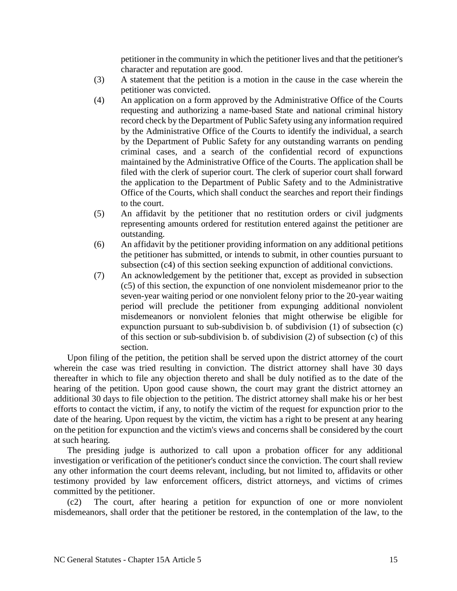petitioner in the community in which the petitioner lives and that the petitioner's character and reputation are good.

- (3) A statement that the petition is a motion in the cause in the case wherein the petitioner was convicted.
- (4) An application on a form approved by the Administrative Office of the Courts requesting and authorizing a name-based State and national criminal history record check by the Department of Public Safety using any information required by the Administrative Office of the Courts to identify the individual, a search by the Department of Public Safety for any outstanding warrants on pending criminal cases, and a search of the confidential record of expunctions maintained by the Administrative Office of the Courts. The application shall be filed with the clerk of superior court. The clerk of superior court shall forward the application to the Department of Public Safety and to the Administrative Office of the Courts, which shall conduct the searches and report their findings to the court.
- (5) An affidavit by the petitioner that no restitution orders or civil judgments representing amounts ordered for restitution entered against the petitioner are outstanding.
- (6) An affidavit by the petitioner providing information on any additional petitions the petitioner has submitted, or intends to submit, in other counties pursuant to subsection (c4) of this section seeking expunction of additional convictions.
- (7) An acknowledgement by the petitioner that, except as provided in subsection (c5) of this section, the expunction of one nonviolent misdemeanor prior to the seven-year waiting period or one nonviolent felony prior to the 20-year waiting period will preclude the petitioner from expunging additional nonviolent misdemeanors or nonviolent felonies that might otherwise be eligible for expunction pursuant to sub-subdivision b. of subdivision (1) of subsection (c) of this section or sub-subdivision b. of subdivision (2) of subsection (c) of this section.

Upon filing of the petition, the petition shall be served upon the district attorney of the court wherein the case was tried resulting in conviction. The district attorney shall have 30 days thereafter in which to file any objection thereto and shall be duly notified as to the date of the hearing of the petition. Upon good cause shown, the court may grant the district attorney an additional 30 days to file objection to the petition. The district attorney shall make his or her best efforts to contact the victim, if any, to notify the victim of the request for expunction prior to the date of the hearing. Upon request by the victim, the victim has a right to be present at any hearing on the petition for expunction and the victim's views and concerns shall be considered by the court at such hearing.

The presiding judge is authorized to call upon a probation officer for any additional investigation or verification of the petitioner's conduct since the conviction. The court shall review any other information the court deems relevant, including, but not limited to, affidavits or other testimony provided by law enforcement officers, district attorneys, and victims of crimes committed by the petitioner.

(c2) The court, after hearing a petition for expunction of one or more nonviolent misdemeanors, shall order that the petitioner be restored, in the contemplation of the law, to the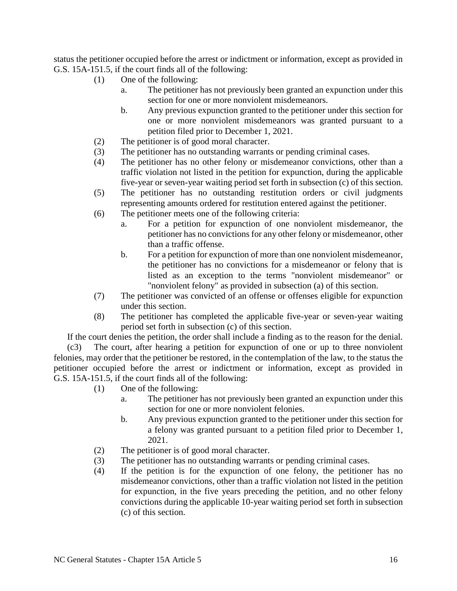status the petitioner occupied before the arrest or indictment or information, except as provided in G.S. 15A-151.5, if the court finds all of the following:

- (1) One of the following:
	- a. The petitioner has not previously been granted an expunction under this section for one or more nonviolent misdemeanors.
	- b. Any previous expunction granted to the petitioner under this section for one or more nonviolent misdemeanors was granted pursuant to a petition filed prior to December 1, 2021.
- (2) The petitioner is of good moral character.
- (3) The petitioner has no outstanding warrants or pending criminal cases.
- (4) The petitioner has no other felony or misdemeanor convictions, other than a traffic violation not listed in the petition for expunction, during the applicable five-year or seven-year waiting period set forth in subsection (c) of this section.
- (5) The petitioner has no outstanding restitution orders or civil judgments representing amounts ordered for restitution entered against the petitioner.
- (6) The petitioner meets one of the following criteria:
	- a. For a petition for expunction of one nonviolent misdemeanor, the petitioner has no convictions for any other felony or misdemeanor, other than a traffic offense.
	- b. For a petition for expunction of more than one nonviolent misdemeanor, the petitioner has no convictions for a misdemeanor or felony that is listed as an exception to the terms "nonviolent misdemeanor" or "nonviolent felony" as provided in subsection (a) of this section.
- (7) The petitioner was convicted of an offense or offenses eligible for expunction under this section.
- (8) The petitioner has completed the applicable five-year or seven-year waiting period set forth in subsection (c) of this section.

If the court denies the petition, the order shall include a finding as to the reason for the denial.

(c3) The court, after hearing a petition for expunction of one or up to three nonviolent felonies, may order that the petitioner be restored, in the contemplation of the law, to the status the petitioner occupied before the arrest or indictment or information, except as provided in G.S. 15A-151.5, if the court finds all of the following:

- (1) One of the following:
	- a. The petitioner has not previously been granted an expunction under this section for one or more nonviolent felonies.
	- b. Any previous expunction granted to the petitioner under this section for a felony was granted pursuant to a petition filed prior to December 1, 2021.
- (2) The petitioner is of good moral character.
- (3) The petitioner has no outstanding warrants or pending criminal cases.
- (4) If the petition is for the expunction of one felony, the petitioner has no misdemeanor convictions, other than a traffic violation not listed in the petition for expunction, in the five years preceding the petition, and no other felony convictions during the applicable 10-year waiting period set forth in subsection (c) of this section.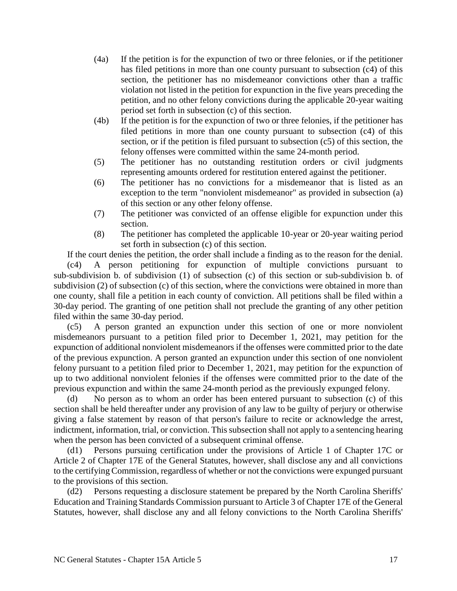- (4a) If the petition is for the expunction of two or three felonies, or if the petitioner has filed petitions in more than one county pursuant to subsection (c4) of this section, the petitioner has no misdemeanor convictions other than a traffic violation not listed in the petition for expunction in the five years preceding the petition, and no other felony convictions during the applicable 20-year waiting period set forth in subsection (c) of this section.
- (4b) If the petition is for the expunction of two or three felonies, if the petitioner has filed petitions in more than one county pursuant to subsection (c4) of this section, or if the petition is filed pursuant to subsection (c5) of this section, the felony offenses were committed within the same 24-month period.
- (5) The petitioner has no outstanding restitution orders or civil judgments representing amounts ordered for restitution entered against the petitioner.
- (6) The petitioner has no convictions for a misdemeanor that is listed as an exception to the term "nonviolent misdemeanor" as provided in subsection (a) of this section or any other felony offense.
- (7) The petitioner was convicted of an offense eligible for expunction under this section.
- (8) The petitioner has completed the applicable 10-year or 20-year waiting period set forth in subsection (c) of this section.

If the court denies the petition, the order shall include a finding as to the reason for the denial.

(c4) A person petitioning for expunction of multiple convictions pursuant to sub-subdivision b. of subdivision (1) of subsection (c) of this section or sub-subdivision b. of subdivision (2) of subsection (c) of this section, where the convictions were obtained in more than one county, shall file a petition in each county of conviction. All petitions shall be filed within a 30-day period. The granting of one petition shall not preclude the granting of any other petition filed within the same 30-day period.

(c5) A person granted an expunction under this section of one or more nonviolent misdemeanors pursuant to a petition filed prior to December 1, 2021, may petition for the expunction of additional nonviolent misdemeanors if the offenses were committed prior to the date of the previous expunction. A person granted an expunction under this section of one nonviolent felony pursuant to a petition filed prior to December 1, 2021, may petition for the expunction of up to two additional nonviolent felonies if the offenses were committed prior to the date of the previous expunction and within the same 24-month period as the previously expunged felony.

(d) No person as to whom an order has been entered pursuant to subsection (c) of this section shall be held thereafter under any provision of any law to be guilty of perjury or otherwise giving a false statement by reason of that person's failure to recite or acknowledge the arrest, indictment, information, trial, or conviction. This subsection shall not apply to a sentencing hearing when the person has been convicted of a subsequent criminal offense.

(d1) Persons pursuing certification under the provisions of Article 1 of Chapter 17C or Article 2 of Chapter 17E of the General Statutes, however, shall disclose any and all convictions to the certifying Commission, regardless of whether or not the convictions were expunged pursuant to the provisions of this section.

(d2) Persons requesting a disclosure statement be prepared by the North Carolina Sheriffs' Education and Training Standards Commission pursuant to Article 3 of Chapter 17E of the General Statutes, however, shall disclose any and all felony convictions to the North Carolina Sheriffs'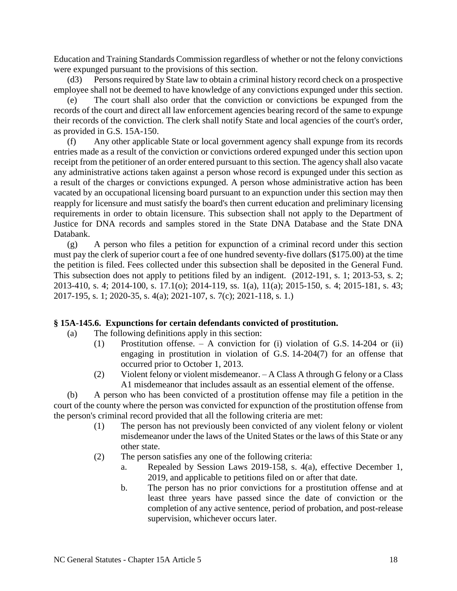Education and Training Standards Commission regardless of whether or not the felony convictions were expunged pursuant to the provisions of this section.

(d3) Persons required by State law to obtain a criminal history record check on a prospective employee shall not be deemed to have knowledge of any convictions expunged under this section.

(e) The court shall also order that the conviction or convictions be expunged from the records of the court and direct all law enforcement agencies bearing record of the same to expunge their records of the conviction. The clerk shall notify State and local agencies of the court's order, as provided in G.S. 15A-150.

(f) Any other applicable State or local government agency shall expunge from its records entries made as a result of the conviction or convictions ordered expunged under this section upon receipt from the petitioner of an order entered pursuant to this section. The agency shall also vacate any administrative actions taken against a person whose record is expunged under this section as a result of the charges or convictions expunged. A person whose administrative action has been vacated by an occupational licensing board pursuant to an expunction under this section may then reapply for licensure and must satisfy the board's then current education and preliminary licensing requirements in order to obtain licensure. This subsection shall not apply to the Department of Justice for DNA records and samples stored in the State DNA Database and the State DNA Databank.

(g) A person who files a petition for expunction of a criminal record under this section must pay the clerk of superior court a fee of one hundred seventy-five dollars (\$175.00) at the time the petition is filed. Fees collected under this subsection shall be deposited in the General Fund. This subsection does not apply to petitions filed by an indigent. (2012-191, s. 1; 2013-53, s. 2; 2013-410, s. 4; 2014-100, s. 17.1(o); 2014-119, ss. 1(a), 11(a); 2015-150, s. 4; 2015-181, s. 43; 2017-195, s. 1; 2020-35, s. 4(a); 2021-107, s. 7(c); 2021-118, s. 1.)

### **§ 15A-145.6. Expunctions for certain defendants convicted of prostitution.**

- (a) The following definitions apply in this section:
	- (1) Prostitution offense. A conviction for (i) violation of G.S. 14-204 or (ii) engaging in prostitution in violation of G.S. 14-204(7) for an offense that occurred prior to October 1, 2013.
	- (2) Violent felony or violent misdemeanor. A Class A through G felony or a Class A1 misdemeanor that includes assault as an essential element of the offense.

(b) A person who has been convicted of a prostitution offense may file a petition in the court of the county where the person was convicted for expunction of the prostitution offense from the person's criminal record provided that all the following criteria are met:

- (1) The person has not previously been convicted of any violent felony or violent misdemeanor under the laws of the United States or the laws of this State or any other state.
- (2) The person satisfies any one of the following criteria:
	- a. Repealed by Session Laws 2019-158, s. 4(a), effective December 1, 2019, and applicable to petitions filed on or after that date.
	- b. The person has no prior convictions for a prostitution offense and at least three years have passed since the date of conviction or the completion of any active sentence, period of probation, and post-release supervision, whichever occurs later.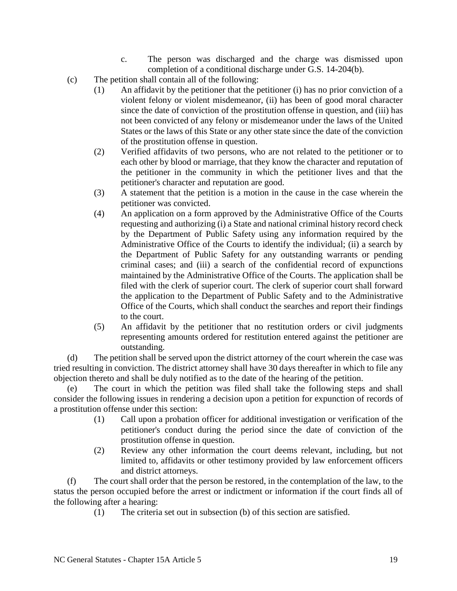- c. The person was discharged and the charge was dismissed upon completion of a conditional discharge under G.S. 14-204(b).
- (c) The petition shall contain all of the following:
	- (1) An affidavit by the petitioner that the petitioner (i) has no prior conviction of a violent felony or violent misdemeanor, (ii) has been of good moral character since the date of conviction of the prostitution offense in question, and (iii) has not been convicted of any felony or misdemeanor under the laws of the United States or the laws of this State or any other state since the date of the conviction of the prostitution offense in question.
	- (2) Verified affidavits of two persons, who are not related to the petitioner or to each other by blood or marriage, that they know the character and reputation of the petitioner in the community in which the petitioner lives and that the petitioner's character and reputation are good.
	- (3) A statement that the petition is a motion in the cause in the case wherein the petitioner was convicted.
	- (4) An application on a form approved by the Administrative Office of the Courts requesting and authorizing (i) a State and national criminal history record check by the Department of Public Safety using any information required by the Administrative Office of the Courts to identify the individual; (ii) a search by the Department of Public Safety for any outstanding warrants or pending criminal cases; and (iii) a search of the confidential record of expunctions maintained by the Administrative Office of the Courts. The application shall be filed with the clerk of superior court. The clerk of superior court shall forward the application to the Department of Public Safety and to the Administrative Office of the Courts, which shall conduct the searches and report their findings to the court.
	- (5) An affidavit by the petitioner that no restitution orders or civil judgments representing amounts ordered for restitution entered against the petitioner are outstanding.

(d) The petition shall be served upon the district attorney of the court wherein the case was tried resulting in conviction. The district attorney shall have 30 days thereafter in which to file any objection thereto and shall be duly notified as to the date of the hearing of the petition.

(e) The court in which the petition was filed shall take the following steps and shall consider the following issues in rendering a decision upon a petition for expunction of records of a prostitution offense under this section:

- (1) Call upon a probation officer for additional investigation or verification of the petitioner's conduct during the period since the date of conviction of the prostitution offense in question.
- (2) Review any other information the court deems relevant, including, but not limited to, affidavits or other testimony provided by law enforcement officers and district attorneys.

(f) The court shall order that the person be restored, in the contemplation of the law, to the status the person occupied before the arrest or indictment or information if the court finds all of the following after a hearing:

(1) The criteria set out in subsection (b) of this section are satisfied.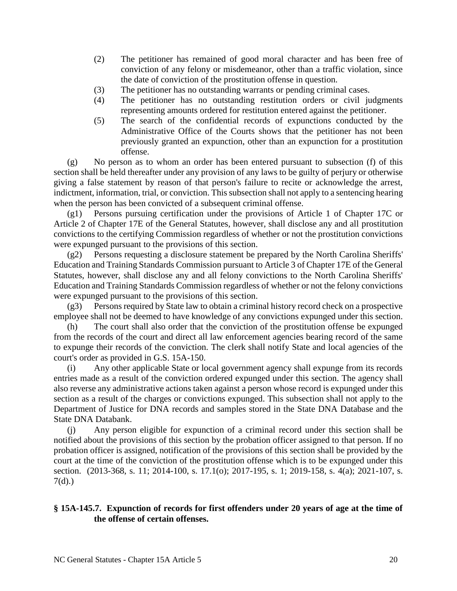- (2) The petitioner has remained of good moral character and has been free of conviction of any felony or misdemeanor, other than a traffic violation, since the date of conviction of the prostitution offense in question.
- (3) The petitioner has no outstanding warrants or pending criminal cases.
- (4) The petitioner has no outstanding restitution orders or civil judgments representing amounts ordered for restitution entered against the petitioner.
- (5) The search of the confidential records of expunctions conducted by the Administrative Office of the Courts shows that the petitioner has not been previously granted an expunction, other than an expunction for a prostitution offense.

(g) No person as to whom an order has been entered pursuant to subsection (f) of this section shall be held thereafter under any provision of any laws to be guilty of perjury or otherwise giving a false statement by reason of that person's failure to recite or acknowledge the arrest, indictment, information, trial, or conviction. This subsection shall not apply to a sentencing hearing when the person has been convicted of a subsequent criminal offense.

(g1) Persons pursuing certification under the provisions of Article 1 of Chapter 17C or Article 2 of Chapter 17E of the General Statutes, however, shall disclose any and all prostitution convictions to the certifying Commission regardless of whether or not the prostitution convictions were expunged pursuant to the provisions of this section.

(g2) Persons requesting a disclosure statement be prepared by the North Carolina Sheriffs' Education and Training Standards Commission pursuant to Article 3 of Chapter 17E of the General Statutes, however, shall disclose any and all felony convictions to the North Carolina Sheriffs' Education and Training Standards Commission regardless of whether or not the felony convictions were expunged pursuant to the provisions of this section.

(g3) Persons required by State law to obtain a criminal history record check on a prospective employee shall not be deemed to have knowledge of any convictions expunged under this section.

(h) The court shall also order that the conviction of the prostitution offense be expunged from the records of the court and direct all law enforcement agencies bearing record of the same to expunge their records of the conviction. The clerk shall notify State and local agencies of the court's order as provided in G.S. 15A-150.

(i) Any other applicable State or local government agency shall expunge from its records entries made as a result of the conviction ordered expunged under this section. The agency shall also reverse any administrative actions taken against a person whose record is expunged under this section as a result of the charges or convictions expunged. This subsection shall not apply to the Department of Justice for DNA records and samples stored in the State DNA Database and the State DNA Databank.

(j) Any person eligible for expunction of a criminal record under this section shall be notified about the provisions of this section by the probation officer assigned to that person. If no probation officer is assigned, notification of the provisions of this section shall be provided by the court at the time of the conviction of the prostitution offense which is to be expunged under this section. (2013-368, s. 11; 2014-100, s. 17.1(o); 2017-195, s. 1; 2019-158, s. 4(a); 2021-107, s.  $7(d)$ .)

# **§ 15A-145.7. Expunction of records for first offenders under 20 years of age at the time of the offense of certain offenses.**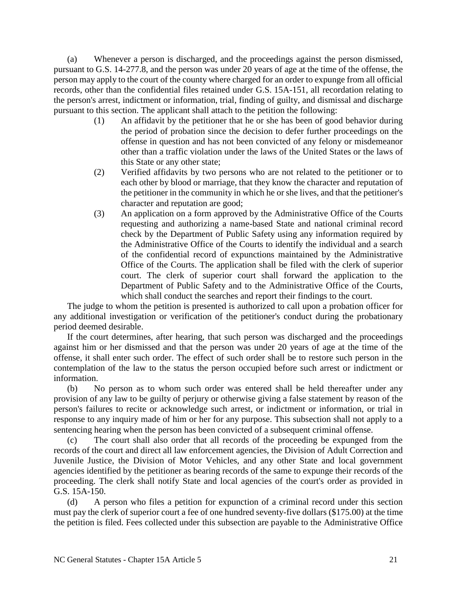(a) Whenever a person is discharged, and the proceedings against the person dismissed, pursuant to G.S. 14-277.8, and the person was under 20 years of age at the time of the offense, the person may apply to the court of the county where charged for an order to expunge from all official records, other than the confidential files retained under G.S. 15A-151, all recordation relating to the person's arrest, indictment or information, trial, finding of guilty, and dismissal and discharge pursuant to this section. The applicant shall attach to the petition the following:

- (1) An affidavit by the petitioner that he or she has been of good behavior during the period of probation since the decision to defer further proceedings on the offense in question and has not been convicted of any felony or misdemeanor other than a traffic violation under the laws of the United States or the laws of this State or any other state;
- (2) Verified affidavits by two persons who are not related to the petitioner or to each other by blood or marriage, that they know the character and reputation of the petitioner in the community in which he or she lives, and that the petitioner's character and reputation are good;
- (3) An application on a form approved by the Administrative Office of the Courts requesting and authorizing a name-based State and national criminal record check by the Department of Public Safety using any information required by the Administrative Office of the Courts to identify the individual and a search of the confidential record of expunctions maintained by the Administrative Office of the Courts. The application shall be filed with the clerk of superior court. The clerk of superior court shall forward the application to the Department of Public Safety and to the Administrative Office of the Courts, which shall conduct the searches and report their findings to the court.

The judge to whom the petition is presented is authorized to call upon a probation officer for any additional investigation or verification of the petitioner's conduct during the probationary period deemed desirable.

If the court determines, after hearing, that such person was discharged and the proceedings against him or her dismissed and that the person was under 20 years of age at the time of the offense, it shall enter such order. The effect of such order shall be to restore such person in the contemplation of the law to the status the person occupied before such arrest or indictment or information.

(b) No person as to whom such order was entered shall be held thereafter under any provision of any law to be guilty of perjury or otherwise giving a false statement by reason of the person's failures to recite or acknowledge such arrest, or indictment or information, or trial in response to any inquiry made of him or her for any purpose. This subsection shall not apply to a sentencing hearing when the person has been convicted of a subsequent criminal offense.

(c) The court shall also order that all records of the proceeding be expunged from the records of the court and direct all law enforcement agencies, the Division of Adult Correction and Juvenile Justice, the Division of Motor Vehicles, and any other State and local government agencies identified by the petitioner as bearing records of the same to expunge their records of the proceeding. The clerk shall notify State and local agencies of the court's order as provided in G.S. 15A-150.

(d) A person who files a petition for expunction of a criminal record under this section must pay the clerk of superior court a fee of one hundred seventy-five dollars (\$175.00) at the time the petition is filed. Fees collected under this subsection are payable to the Administrative Office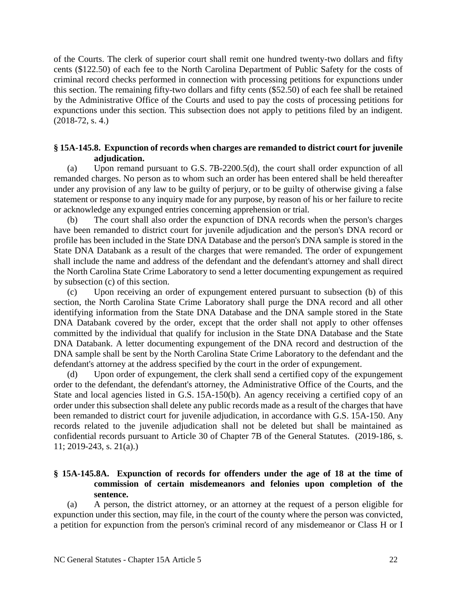of the Courts. The clerk of superior court shall remit one hundred twenty-two dollars and fifty cents (\$122.50) of each fee to the North Carolina Department of Public Safety for the costs of criminal record checks performed in connection with processing petitions for expunctions under this section. The remaining fifty-two dollars and fifty cents (\$52.50) of each fee shall be retained by the Administrative Office of the Courts and used to pay the costs of processing petitions for expunctions under this section. This subsection does not apply to petitions filed by an indigent. (2018-72, s. 4.)

### **§ 15A-145.8. Expunction of records when charges are remanded to district court for juvenile adjudication.**

(a) Upon remand pursuant to G.S. 7B-2200.5(d), the court shall order expunction of all remanded charges. No person as to whom such an order has been entered shall be held thereafter under any provision of any law to be guilty of perjury, or to be guilty of otherwise giving a false statement or response to any inquiry made for any purpose, by reason of his or her failure to recite or acknowledge any expunged entries concerning apprehension or trial.

(b) The court shall also order the expunction of DNA records when the person's charges have been remanded to district court for juvenile adjudication and the person's DNA record or profile has been included in the State DNA Database and the person's DNA sample is stored in the State DNA Databank as a result of the charges that were remanded. The order of expungement shall include the name and address of the defendant and the defendant's attorney and shall direct the North Carolina State Crime Laboratory to send a letter documenting expungement as required by subsection (c) of this section.

(c) Upon receiving an order of expungement entered pursuant to subsection (b) of this section, the North Carolina State Crime Laboratory shall purge the DNA record and all other identifying information from the State DNA Database and the DNA sample stored in the State DNA Databank covered by the order, except that the order shall not apply to other offenses committed by the individual that qualify for inclusion in the State DNA Database and the State DNA Databank. A letter documenting expungement of the DNA record and destruction of the DNA sample shall be sent by the North Carolina State Crime Laboratory to the defendant and the defendant's attorney at the address specified by the court in the order of expungement.

(d) Upon order of expungement, the clerk shall send a certified copy of the expungement order to the defendant, the defendant's attorney, the Administrative Office of the Courts, and the State and local agencies listed in G.S. 15A-150(b). An agency receiving a certified copy of an order under this subsection shall delete any public records made as a result of the charges that have been remanded to district court for juvenile adjudication, in accordance with G.S. 15A-150. Any records related to the juvenile adjudication shall not be deleted but shall be maintained as confidential records pursuant to Article 30 of Chapter 7B of the General Statutes. (2019-186, s. 11; 2019-243, s. 21(a).)

# **§ 15A-145.8A. Expunction of records for offenders under the age of 18 at the time of commission of certain misdemeanors and felonies upon completion of the sentence.**

(a) A person, the district attorney, or an attorney at the request of a person eligible for expunction under this section, may file, in the court of the county where the person was convicted, a petition for expunction from the person's criminal record of any misdemeanor or Class H or I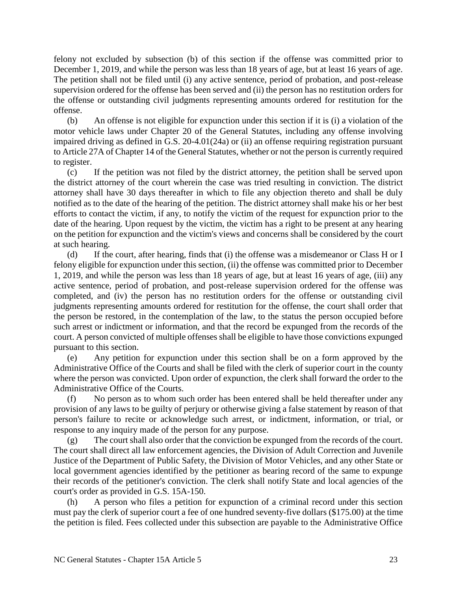felony not excluded by subsection (b) of this section if the offense was committed prior to December 1, 2019, and while the person was less than 18 years of age, but at least 16 years of age. The petition shall not be filed until (i) any active sentence, period of probation, and post-release supervision ordered for the offense has been served and (ii) the person has no restitution orders for the offense or outstanding civil judgments representing amounts ordered for restitution for the offense.

(b) An offense is not eligible for expunction under this section if it is (i) a violation of the motor vehicle laws under Chapter 20 of the General Statutes, including any offense involving impaired driving as defined in G.S. 20-4.01(24a) or (ii) an offense requiring registration pursuant to Article 27A of Chapter 14 of the General Statutes, whether or not the person is currently required to register.

(c) If the petition was not filed by the district attorney, the petition shall be served upon the district attorney of the court wherein the case was tried resulting in conviction. The district attorney shall have 30 days thereafter in which to file any objection thereto and shall be duly notified as to the date of the hearing of the petition. The district attorney shall make his or her best efforts to contact the victim, if any, to notify the victim of the request for expunction prior to the date of the hearing. Upon request by the victim, the victim has a right to be present at any hearing on the petition for expunction and the victim's views and concerns shall be considered by the court at such hearing.

(d) If the court, after hearing, finds that (i) the offense was a misdemeanor or Class H or I felony eligible for expunction under this section, (ii) the offense was committed prior to December 1, 2019, and while the person was less than 18 years of age, but at least 16 years of age, (iii) any active sentence, period of probation, and post-release supervision ordered for the offense was completed, and (iv) the person has no restitution orders for the offense or outstanding civil judgments representing amounts ordered for restitution for the offense, the court shall order that the person be restored, in the contemplation of the law, to the status the person occupied before such arrest or indictment or information, and that the record be expunged from the records of the court. A person convicted of multiple offenses shall be eligible to have those convictions expunged pursuant to this section.

(e) Any petition for expunction under this section shall be on a form approved by the Administrative Office of the Courts and shall be filed with the clerk of superior court in the county where the person was convicted. Upon order of expunction, the clerk shall forward the order to the Administrative Office of the Courts.

(f) No person as to whom such order has been entered shall be held thereafter under any provision of any laws to be guilty of perjury or otherwise giving a false statement by reason of that person's failure to recite or acknowledge such arrest, or indictment, information, or trial, or response to any inquiry made of the person for any purpose.

(g) The court shall also order that the conviction be expunged from the records of the court. The court shall direct all law enforcement agencies, the Division of Adult Correction and Juvenile Justice of the Department of Public Safety, the Division of Motor Vehicles, and any other State or local government agencies identified by the petitioner as bearing record of the same to expunge their records of the petitioner's conviction. The clerk shall notify State and local agencies of the court's order as provided in G.S. 15A-150.

(h) A person who files a petition for expunction of a criminal record under this section must pay the clerk of superior court a fee of one hundred seventy-five dollars (\$175.00) at the time the petition is filed. Fees collected under this subsection are payable to the Administrative Office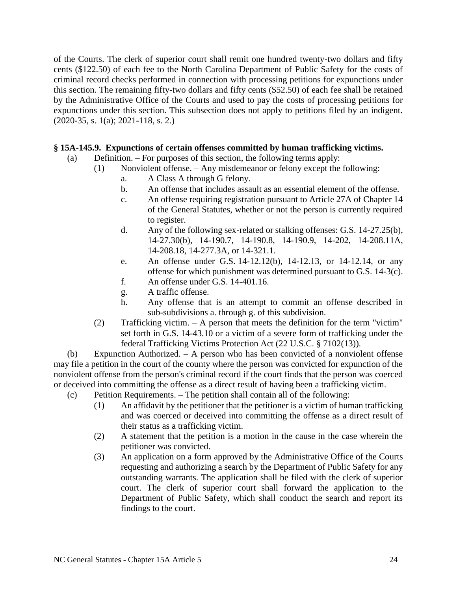of the Courts. The clerk of superior court shall remit one hundred twenty-two dollars and fifty cents (\$122.50) of each fee to the North Carolina Department of Public Safety for the costs of criminal record checks performed in connection with processing petitions for expunctions under this section. The remaining fifty-two dollars and fifty cents (\$52.50) of each fee shall be retained by the Administrative Office of the Courts and used to pay the costs of processing petitions for expunctions under this section. This subsection does not apply to petitions filed by an indigent. (2020-35, s. 1(a); 2021-118, s. 2.)

#### **§ 15A-145.9. Expunctions of certain offenses committed by human trafficking victims.**

- (a) Definition. For purposes of this section, the following terms apply:
	- (1) Nonviolent offense. Any misdemeanor or felony except the following:
		- a. A Class A through G felony.
		- b. An offense that includes assault as an essential element of the offense.
		- c. An offense requiring registration pursuant to Article 27A of Chapter 14 of the General Statutes, whether or not the person is currently required to register.
		- d. Any of the following sex-related or stalking offenses: G.S. 14-27.25(b), 14-27.30(b), 14-190.7, 14-190.8, 14-190.9, 14-202, 14-208.11A, 14-208.18, 14-277.3A, or 14-321.1.
		- e. An offense under G.S. 14-12.12(b), 14-12.13, or 14-12.14, or any offense for which punishment was determined pursuant to G.S. 14-3(c).
		- f. An offense under G.S. 14-401.16.
		- g. A traffic offense.
		- h. Any offense that is an attempt to commit an offense described in sub-subdivisions a. through g. of this subdivision.
	- (2) Trafficking victim. A person that meets the definition for the term "victim" set forth in G.S. 14-43.10 or a victim of a severe form of trafficking under the federal Trafficking Victims Protection Act (22 U.S.C. § 7102(13)).

(b) Expunction Authorized. – A person who has been convicted of a nonviolent offense may file a petition in the court of the county where the person was convicted for expunction of the nonviolent offense from the person's criminal record if the court finds that the person was coerced or deceived into committing the offense as a direct result of having been a trafficking victim.

- (c) Petition Requirements. The petition shall contain all of the following:
	- (1) An affidavit by the petitioner that the petitioner is a victim of human trafficking and was coerced or deceived into committing the offense as a direct result of their status as a trafficking victim.
	- (2) A statement that the petition is a motion in the cause in the case wherein the petitioner was convicted.
	- (3) An application on a form approved by the Administrative Office of the Courts requesting and authorizing a search by the Department of Public Safety for any outstanding warrants. The application shall be filed with the clerk of superior court. The clerk of superior court shall forward the application to the Department of Public Safety, which shall conduct the search and report its findings to the court.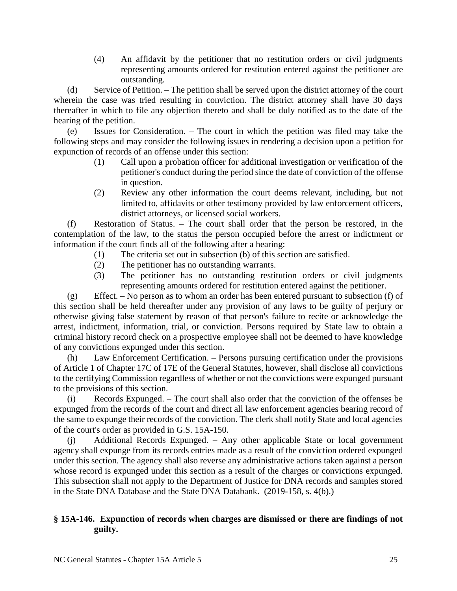(4) An affidavit by the petitioner that no restitution orders or civil judgments representing amounts ordered for restitution entered against the petitioner are outstanding.

(d) Service of Petition. – The petition shall be served upon the district attorney of the court wherein the case was tried resulting in conviction. The district attorney shall have 30 days thereafter in which to file any objection thereto and shall be duly notified as to the date of the hearing of the petition.

(e) Issues for Consideration. – The court in which the petition was filed may take the following steps and may consider the following issues in rendering a decision upon a petition for expunction of records of an offense under this section:

- (1) Call upon a probation officer for additional investigation or verification of the petitioner's conduct during the period since the date of conviction of the offense in question.
- (2) Review any other information the court deems relevant, including, but not limited to, affidavits or other testimony provided by law enforcement officers, district attorneys, or licensed social workers.

(f) Restoration of Status. – The court shall order that the person be restored, in the contemplation of the law, to the status the person occupied before the arrest or indictment or information if the court finds all of the following after a hearing:

- (1) The criteria set out in subsection (b) of this section are satisfied.
- (2) The petitioner has no outstanding warrants.
- (3) The petitioner has no outstanding restitution orders or civil judgments representing amounts ordered for restitution entered against the petitioner.

(g) Effect. – No person as to whom an order has been entered pursuant to subsection (f) of this section shall be held thereafter under any provision of any laws to be guilty of perjury or otherwise giving false statement by reason of that person's failure to recite or acknowledge the arrest, indictment, information, trial, or conviction. Persons required by State law to obtain a criminal history record check on a prospective employee shall not be deemed to have knowledge of any convictions expunged under this section.

(h) Law Enforcement Certification. – Persons pursuing certification under the provisions of Article 1 of Chapter 17C of 17E of the General Statutes, however, shall disclose all convictions to the certifying Commission regardless of whether or not the convictions were expunged pursuant to the provisions of this section.

(i) Records Expunged. – The court shall also order that the conviction of the offenses be expunged from the records of the court and direct all law enforcement agencies bearing record of the same to expunge their records of the conviction. The clerk shall notify State and local agencies of the court's order as provided in G.S. 15A-150.

(j) Additional Records Expunged. – Any other applicable State or local government agency shall expunge from its records entries made as a result of the conviction ordered expunged under this section. The agency shall also reverse any administrative actions taken against a person whose record is expunged under this section as a result of the charges or convictions expunged. This subsection shall not apply to the Department of Justice for DNA records and samples stored in the State DNA Database and the State DNA Databank. (2019-158, s. 4(b).)

# **§ 15A-146. Expunction of records when charges are dismissed or there are findings of not guilty.**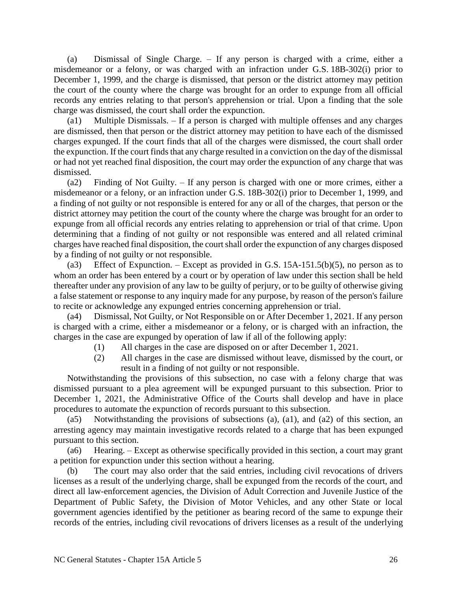(a) Dismissal of Single Charge. – If any person is charged with a crime, either a misdemeanor or a felony, or was charged with an infraction under G.S. 18B-302(i) prior to December 1, 1999, and the charge is dismissed, that person or the district attorney may petition the court of the county where the charge was brought for an order to expunge from all official records any entries relating to that person's apprehension or trial. Upon a finding that the sole charge was dismissed, the court shall order the expunction.

(a1) Multiple Dismissals. – If a person is charged with multiple offenses and any charges are dismissed, then that person or the district attorney may petition to have each of the dismissed charges expunged. If the court finds that all of the charges were dismissed, the court shall order the expunction. If the court finds that any charge resulted in a conviction on the day of the dismissal or had not yet reached final disposition, the court may order the expunction of any charge that was dismissed.

(a2) Finding of Not Guilty. – If any person is charged with one or more crimes, either a misdemeanor or a felony, or an infraction under G.S. 18B-302(i) prior to December 1, 1999, and a finding of not guilty or not responsible is entered for any or all of the charges, that person or the district attorney may petition the court of the county where the charge was brought for an order to expunge from all official records any entries relating to apprehension or trial of that crime. Upon determining that a finding of not guilty or not responsible was entered and all related criminal charges have reached final disposition, the court shall order the expunction of any charges disposed by a finding of not guilty or not responsible.

(a3) Effect of Expunction. – Except as provided in G.S. 15A-151.5(b)(5), no person as to whom an order has been entered by a court or by operation of law under this section shall be held thereafter under any provision of any law to be guilty of perjury, or to be guilty of otherwise giving a false statement or response to any inquiry made for any purpose, by reason of the person's failure to recite or acknowledge any expunged entries concerning apprehension or trial.

(a4) Dismissal, Not Guilty, or Not Responsible on or After December 1, 2021. If any person is charged with a crime, either a misdemeanor or a felony, or is charged with an infraction, the charges in the case are expunged by operation of law if all of the following apply:

- (1) All charges in the case are disposed on or after December 1, 2021.
- (2) All charges in the case are dismissed without leave, dismissed by the court, or result in a finding of not guilty or not responsible.

Notwithstanding the provisions of this subsection, no case with a felony charge that was dismissed pursuant to a plea agreement will be expunged pursuant to this subsection. Prior to December 1, 2021, the Administrative Office of the Courts shall develop and have in place procedures to automate the expunction of records pursuant to this subsection.

Notwithstanding the provisions of subsections (a), (a1), and (a2) of this section, an arresting agency may maintain investigative records related to a charge that has been expunged pursuant to this section.

(a6) Hearing. – Except as otherwise specifically provided in this section, a court may grant a petition for expunction under this section without a hearing.

(b) The court may also order that the said entries, including civil revocations of drivers licenses as a result of the underlying charge, shall be expunged from the records of the court, and direct all law-enforcement agencies, the Division of Adult Correction and Juvenile Justice of the Department of Public Safety, the Division of Motor Vehicles, and any other State or local government agencies identified by the petitioner as bearing record of the same to expunge their records of the entries, including civil revocations of drivers licenses as a result of the underlying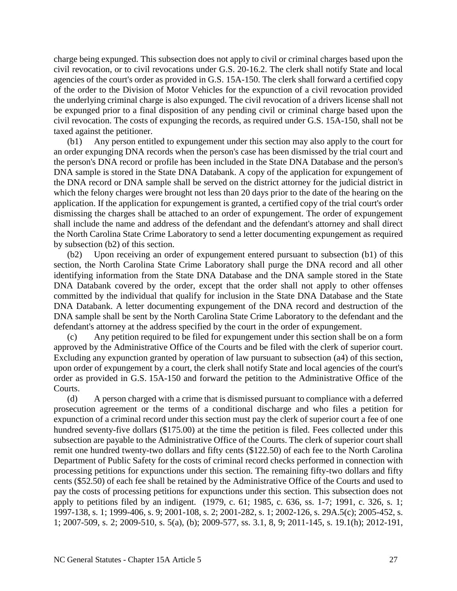charge being expunged. This subsection does not apply to civil or criminal charges based upon the civil revocation, or to civil revocations under G.S. 20-16.2. The clerk shall notify State and local agencies of the court's order as provided in G.S. 15A-150. The clerk shall forward a certified copy of the order to the Division of Motor Vehicles for the expunction of a civil revocation provided the underlying criminal charge is also expunged. The civil revocation of a drivers license shall not be expunged prior to a final disposition of any pending civil or criminal charge based upon the civil revocation. The costs of expunging the records, as required under G.S. 15A-150, shall not be taxed against the petitioner.

(b1) Any person entitled to expungement under this section may also apply to the court for an order expunging DNA records when the person's case has been dismissed by the trial court and the person's DNA record or profile has been included in the State DNA Database and the person's DNA sample is stored in the State DNA Databank. A copy of the application for expungement of the DNA record or DNA sample shall be served on the district attorney for the judicial district in which the felony charges were brought not less than 20 days prior to the date of the hearing on the application. If the application for expungement is granted, a certified copy of the trial court's order dismissing the charges shall be attached to an order of expungement. The order of expungement shall include the name and address of the defendant and the defendant's attorney and shall direct the North Carolina State Crime Laboratory to send a letter documenting expungement as required by subsection (b2) of this section.

(b2) Upon receiving an order of expungement entered pursuant to subsection (b1) of this section, the North Carolina State Crime Laboratory shall purge the DNA record and all other identifying information from the State DNA Database and the DNA sample stored in the State DNA Databank covered by the order, except that the order shall not apply to other offenses committed by the individual that qualify for inclusion in the State DNA Database and the State DNA Databank. A letter documenting expungement of the DNA record and destruction of the DNA sample shall be sent by the North Carolina State Crime Laboratory to the defendant and the defendant's attorney at the address specified by the court in the order of expungement.

(c) Any petition required to be filed for expungement under this section shall be on a form approved by the Administrative Office of the Courts and be filed with the clerk of superior court. Excluding any expunction granted by operation of law pursuant to subsection (a4) of this section, upon order of expungement by a court, the clerk shall notify State and local agencies of the court's order as provided in G.S. 15A-150 and forward the petition to the Administrative Office of the Courts.

(d) A person charged with a crime that is dismissed pursuant to compliance with a deferred prosecution agreement or the terms of a conditional discharge and who files a petition for expunction of a criminal record under this section must pay the clerk of superior court a fee of one hundred seventy-five dollars (\$175.00) at the time the petition is filed. Fees collected under this subsection are payable to the Administrative Office of the Courts. The clerk of superior court shall remit one hundred twenty-two dollars and fifty cents (\$122.50) of each fee to the North Carolina Department of Public Safety for the costs of criminal record checks performed in connection with processing petitions for expunctions under this section. The remaining fifty-two dollars and fifty cents (\$52.50) of each fee shall be retained by the Administrative Office of the Courts and used to pay the costs of processing petitions for expunctions under this section. This subsection does not apply to petitions filed by an indigent. (1979, c. 61; 1985, c. 636, ss. 1-7; 1991, c. 326, s. 1; 1997-138, s. 1; 1999-406, s. 9; 2001-108, s. 2; 2001-282, s. 1; 2002-126, s. 29A.5(c); 2005-452, s. 1; 2007-509, s. 2; 2009-510, s. 5(a), (b); 2009-577, ss. 3.1, 8, 9; 2011-145, s. 19.1(h); 2012-191,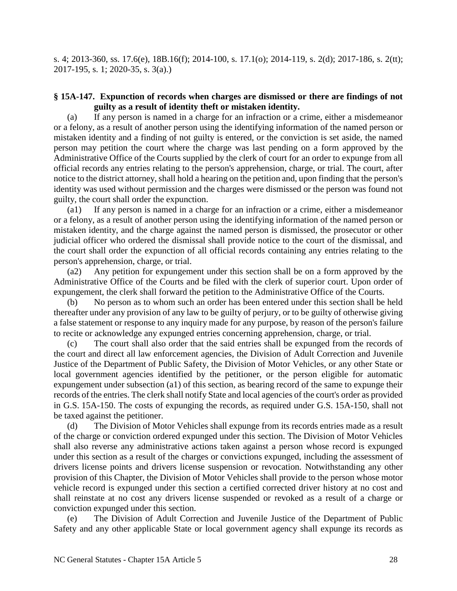s. 4; 2013-360, ss. 17.6(e), 18B.16(f); 2014-100, s. 17.1(o); 2014-119, s. 2(d); 2017-186, s. 2(tt); 2017-195, s. 1; 2020-35, s. 3(a).)

#### **§ 15A-147. Expunction of records when charges are dismissed or there are findings of not guilty as a result of identity theft or mistaken identity.**

(a) If any person is named in a charge for an infraction or a crime, either a misdemeanor or a felony, as a result of another person using the identifying information of the named person or mistaken identity and a finding of not guilty is entered, or the conviction is set aside, the named person may petition the court where the charge was last pending on a form approved by the Administrative Office of the Courts supplied by the clerk of court for an order to expunge from all official records any entries relating to the person's apprehension, charge, or trial. The court, after notice to the district attorney, shall hold a hearing on the petition and, upon finding that the person's identity was used without permission and the charges were dismissed or the person was found not guilty, the court shall order the expunction.

(a1) If any person is named in a charge for an infraction or a crime, either a misdemeanor or a felony, as a result of another person using the identifying information of the named person or mistaken identity, and the charge against the named person is dismissed, the prosecutor or other judicial officer who ordered the dismissal shall provide notice to the court of the dismissal, and the court shall order the expunction of all official records containing any entries relating to the person's apprehension, charge, or trial.

(a2) Any petition for expungement under this section shall be on a form approved by the Administrative Office of the Courts and be filed with the clerk of superior court. Upon order of expungement, the clerk shall forward the petition to the Administrative Office of the Courts.

(b) No person as to whom such an order has been entered under this section shall be held thereafter under any provision of any law to be guilty of perjury, or to be guilty of otherwise giving a false statement or response to any inquiry made for any purpose, by reason of the person's failure to recite or acknowledge any expunged entries concerning apprehension, charge, or trial.

(c) The court shall also order that the said entries shall be expunged from the records of the court and direct all law enforcement agencies, the Division of Adult Correction and Juvenile Justice of the Department of Public Safety, the Division of Motor Vehicles, or any other State or local government agencies identified by the petitioner, or the person eligible for automatic expungement under subsection (a1) of this section, as bearing record of the same to expunge their records of the entries. The clerk shall notify State and local agencies of the court's order as provided in G.S. 15A-150. The costs of expunging the records, as required under G.S. 15A-150, shall not be taxed against the petitioner.

(d) The Division of Motor Vehicles shall expunge from its records entries made as a result of the charge or conviction ordered expunged under this section. The Division of Motor Vehicles shall also reverse any administrative actions taken against a person whose record is expunged under this section as a result of the charges or convictions expunged, including the assessment of drivers license points and drivers license suspension or revocation. Notwithstanding any other provision of this Chapter, the Division of Motor Vehicles shall provide to the person whose motor vehicle record is expunged under this section a certified corrected driver history at no cost and shall reinstate at no cost any drivers license suspended or revoked as a result of a charge or conviction expunged under this section.

(e) The Division of Adult Correction and Juvenile Justice of the Department of Public Safety and any other applicable State or local government agency shall expunge its records as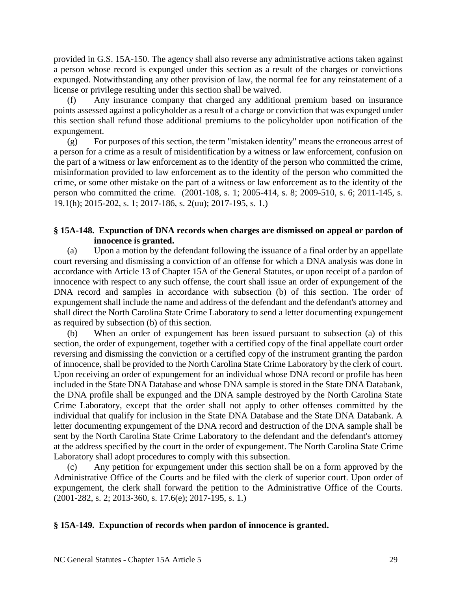provided in G.S. 15A-150. The agency shall also reverse any administrative actions taken against a person whose record is expunged under this section as a result of the charges or convictions expunged. Notwithstanding any other provision of law, the normal fee for any reinstatement of a license or privilege resulting under this section shall be waived.

(f) Any insurance company that charged any additional premium based on insurance points assessed against a policyholder as a result of a charge or conviction that was expunged under this section shall refund those additional premiums to the policyholder upon notification of the expungement.

(g) For purposes of this section, the term "mistaken identity" means the erroneous arrest of a person for a crime as a result of misidentification by a witness or law enforcement, confusion on the part of a witness or law enforcement as to the identity of the person who committed the crime, misinformation provided to law enforcement as to the identity of the person who committed the crime, or some other mistake on the part of a witness or law enforcement as to the identity of the person who committed the crime. (2001-108, s. 1; 2005-414, s. 8; 2009-510, s. 6; 2011-145, s. 19.1(h); 2015-202, s. 1; 2017-186, s. 2(uu); 2017-195, s. 1.)

## **§ 15A-148. Expunction of DNA records when charges are dismissed on appeal or pardon of innocence is granted.**

(a) Upon a motion by the defendant following the issuance of a final order by an appellate court reversing and dismissing a conviction of an offense for which a DNA analysis was done in accordance with Article 13 of Chapter 15A of the General Statutes, or upon receipt of a pardon of innocence with respect to any such offense, the court shall issue an order of expungement of the DNA record and samples in accordance with subsection (b) of this section. The order of expungement shall include the name and address of the defendant and the defendant's attorney and shall direct the North Carolina State Crime Laboratory to send a letter documenting expungement as required by subsection (b) of this section.

(b) When an order of expungement has been issued pursuant to subsection (a) of this section, the order of expungement, together with a certified copy of the final appellate court order reversing and dismissing the conviction or a certified copy of the instrument granting the pardon of innocence, shall be provided to the North Carolina State Crime Laboratory by the clerk of court. Upon receiving an order of expungement for an individual whose DNA record or profile has been included in the State DNA Database and whose DNA sample is stored in the State DNA Databank, the DNA profile shall be expunged and the DNA sample destroyed by the North Carolina State Crime Laboratory, except that the order shall not apply to other offenses committed by the individual that qualify for inclusion in the State DNA Database and the State DNA Databank. A letter documenting expungement of the DNA record and destruction of the DNA sample shall be sent by the North Carolina State Crime Laboratory to the defendant and the defendant's attorney at the address specified by the court in the order of expungement. The North Carolina State Crime Laboratory shall adopt procedures to comply with this subsection.

(c) Any petition for expungement under this section shall be on a form approved by the Administrative Office of the Courts and be filed with the clerk of superior court. Upon order of expungement, the clerk shall forward the petition to the Administrative Office of the Courts. (2001-282, s. 2; 2013-360, s. 17.6(e); 2017-195, s. 1.)

### **§ 15A-149. Expunction of records when pardon of innocence is granted.**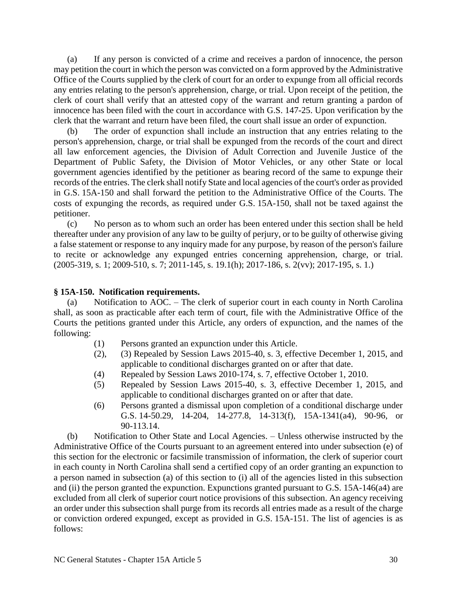(a) If any person is convicted of a crime and receives a pardon of innocence, the person may petition the court in which the person was convicted on a form approved by the Administrative Office of the Courts supplied by the clerk of court for an order to expunge from all official records any entries relating to the person's apprehension, charge, or trial. Upon receipt of the petition, the clerk of court shall verify that an attested copy of the warrant and return granting a pardon of innocence has been filed with the court in accordance with G.S. 147-25. Upon verification by the clerk that the warrant and return have been filed, the court shall issue an order of expunction.

(b) The order of expunction shall include an instruction that any entries relating to the person's apprehension, charge, or trial shall be expunged from the records of the court and direct all law enforcement agencies, the Division of Adult Correction and Juvenile Justice of the Department of Public Safety, the Division of Motor Vehicles, or any other State or local government agencies identified by the petitioner as bearing record of the same to expunge their records of the entries. The clerk shall notify State and local agencies of the court's order as provided in G.S. 15A-150 and shall forward the petition to the Administrative Office of the Courts. The costs of expunging the records, as required under G.S. 15A-150, shall not be taxed against the petitioner.

(c) No person as to whom such an order has been entered under this section shall be held thereafter under any provision of any law to be guilty of perjury, or to be guilty of otherwise giving a false statement or response to any inquiry made for any purpose, by reason of the person's failure to recite or acknowledge any expunged entries concerning apprehension, charge, or trial. (2005-319, s. 1; 2009-510, s. 7; 2011-145, s. 19.1(h); 2017-186, s. 2(vv); 2017-195, s. 1.)

#### **§ 15A-150. Notification requirements.**

(a) Notification to AOC. – The clerk of superior court in each county in North Carolina shall, as soon as practicable after each term of court, file with the Administrative Office of the Courts the petitions granted under this Article, any orders of expunction, and the names of the following:

- (1) Persons granted an expunction under this Article.
- (2), (3) Repealed by Session Laws 2015-40, s. 3, effective December 1, 2015, and applicable to conditional discharges granted on or after that date.
- (4) Repealed by Session Laws 2010-174, s. 7, effective October 1, 2010.
- (5) Repealed by Session Laws 2015-40, s. 3, effective December 1, 2015, and applicable to conditional discharges granted on or after that date.
- (6) Persons granted a dismissal upon completion of a conditional discharge under G.S. 14-50.29, 14-204, 14-277.8, 14-313(f), 15A-1341(a4), 90-96, or 90-113.14.

(b) Notification to Other State and Local Agencies. – Unless otherwise instructed by the Administrative Office of the Courts pursuant to an agreement entered into under subsection (e) of this section for the electronic or facsimile transmission of information, the clerk of superior court in each county in North Carolina shall send a certified copy of an order granting an expunction to a person named in subsection (a) of this section to (i) all of the agencies listed in this subsection and (ii) the person granted the expunction. Expunctions granted pursuant to G.S. 15A-146(a4) are excluded from all clerk of superior court notice provisions of this subsection. An agency receiving an order under this subsection shall purge from its records all entries made as a result of the charge or conviction ordered expunged, except as provided in G.S. 15A-151. The list of agencies is as follows: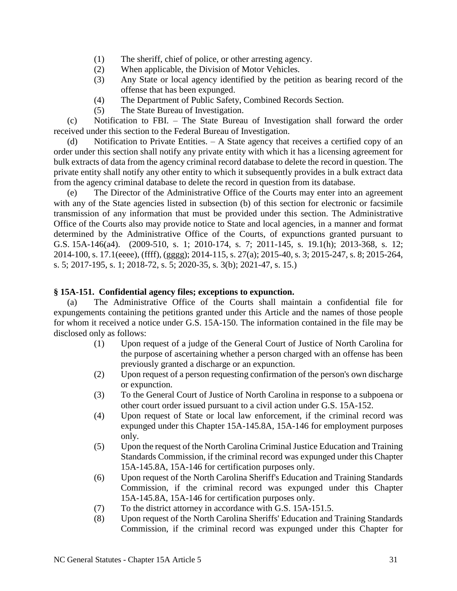- (1) The sheriff, chief of police, or other arresting agency.
- (2) When applicable, the Division of Motor Vehicles.
- (3) Any State or local agency identified by the petition as bearing record of the offense that has been expunged.
- (4) The Department of Public Safety, Combined Records Section.
- (5) The State Bureau of Investigation.

(c) Notification to FBI. – The State Bureau of Investigation shall forward the order received under this section to the Federal Bureau of Investigation.

(d) Notification to Private Entities. – A State agency that receives a certified copy of an order under this section shall notify any private entity with which it has a licensing agreement for bulk extracts of data from the agency criminal record database to delete the record in question. The private entity shall notify any other entity to which it subsequently provides in a bulk extract data from the agency criminal database to delete the record in question from its database.

(e) The Director of the Administrative Office of the Courts may enter into an agreement with any of the State agencies listed in subsection (b) of this section for electronic or facsimile transmission of any information that must be provided under this section. The Administrative Office of the Courts also may provide notice to State and local agencies, in a manner and format determined by the Administrative Office of the Courts, of expunctions granted pursuant to G.S. 15A-146(a4). (2009-510, s. 1; 2010-174, s. 7; 2011-145, s. 19.1(h); 2013-368, s. 12; 2014-100, s. 17.1(eeee), (ffff), (gggg); 2014-115, s. 27(a); 2015-40, s. 3; 2015-247, s. 8; 2015-264, s. 5; 2017-195, s. 1; 2018-72, s. 5; 2020-35, s. 3(b); 2021-47, s. 15.)

## **§ 15A-151. Confidential agency files; exceptions to expunction.**

(a) The Administrative Office of the Courts shall maintain a confidential file for expungements containing the petitions granted under this Article and the names of those people for whom it received a notice under G.S. 15A-150. The information contained in the file may be disclosed only as follows:

- (1) Upon request of a judge of the General Court of Justice of North Carolina for the purpose of ascertaining whether a person charged with an offense has been previously granted a discharge or an expunction.
- (2) Upon request of a person requesting confirmation of the person's own discharge or expunction.
- (3) To the General Court of Justice of North Carolina in response to a subpoena or other court order issued pursuant to a civil action under G.S. 15A-152.
- (4) Upon request of State or local law enforcement, if the criminal record was expunged under this Chapter 15A-145.8A, 15A-146 for employment purposes only.
- (5) Upon the request of the North Carolina Criminal Justice Education and Training Standards Commission, if the criminal record was expunged under this Chapter 15A-145.8A, 15A-146 for certification purposes only.
- (6) Upon request of the North Carolina Sheriff's Education and Training Standards Commission, if the criminal record was expunged under this Chapter 15A-145.8A, 15A-146 for certification purposes only.
- (7) To the district attorney in accordance with G.S. 15A-151.5.
- (8) Upon request of the North Carolina Sheriffs' Education and Training Standards Commission, if the criminal record was expunged under this Chapter for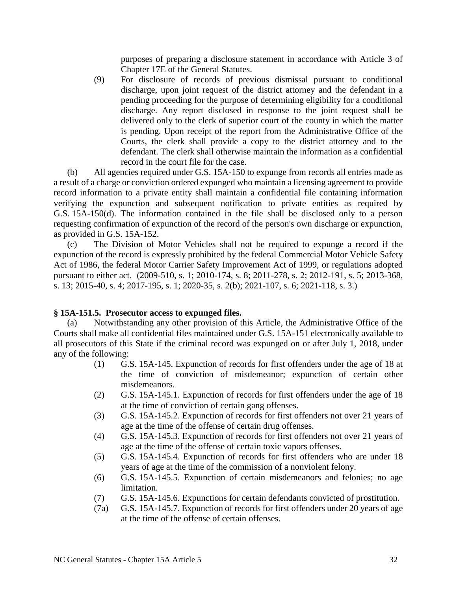purposes of preparing a disclosure statement in accordance with Article 3 of Chapter 17E of the General Statutes.

(9) For disclosure of records of previous dismissal pursuant to conditional discharge, upon joint request of the district attorney and the defendant in a pending proceeding for the purpose of determining eligibility for a conditional discharge. Any report disclosed in response to the joint request shall be delivered only to the clerk of superior court of the county in which the matter is pending. Upon receipt of the report from the Administrative Office of the Courts, the clerk shall provide a copy to the district attorney and to the defendant. The clerk shall otherwise maintain the information as a confidential record in the court file for the case.

(b) All agencies required under G.S. 15A-150 to expunge from records all entries made as a result of a charge or conviction ordered expunged who maintain a licensing agreement to provide record information to a private entity shall maintain a confidential file containing information verifying the expunction and subsequent notification to private entities as required by G.S. 15A-150(d). The information contained in the file shall be disclosed only to a person requesting confirmation of expunction of the record of the person's own discharge or expunction, as provided in G.S. 15A-152.

(c) The Division of Motor Vehicles shall not be required to expunge a record if the expunction of the record is expressly prohibited by the federal Commercial Motor Vehicle Safety Act of 1986, the federal Motor Carrier Safety Improvement Act of 1999, or regulations adopted pursuant to either act. (2009-510, s. 1; 2010-174, s. 8; 2011-278, s. 2; 2012-191, s. 5; 2013-368, s. 13; 2015-40, s. 4; 2017-195, s. 1; 2020-35, s. 2(b); 2021-107, s. 6; 2021-118, s. 3.)

#### **§ 15A-151.5. Prosecutor access to expunged files.**

(a) Notwithstanding any other provision of this Article, the Administrative Office of the Courts shall make all confidential files maintained under G.S. 15A-151 electronically available to all prosecutors of this State if the criminal record was expunged on or after July 1, 2018, under any of the following:

- (1) G.S. 15A-145. Expunction of records for first offenders under the age of 18 at the time of conviction of misdemeanor; expunction of certain other misdemeanors.
- (2) G.S. 15A-145.1. Expunction of records for first offenders under the age of 18 at the time of conviction of certain gang offenses.
- (3) G.S. 15A-145.2. Expunction of records for first offenders not over 21 years of age at the time of the offense of certain drug offenses.
- (4) G.S. 15A-145.3. Expunction of records for first offenders not over 21 years of age at the time of the offense of certain toxic vapors offenses.
- (5) G.S. 15A-145.4. Expunction of records for first offenders who are under 18 years of age at the time of the commission of a nonviolent felony.
- (6) G.S. 15A-145.5. Expunction of certain misdemeanors and felonies; no age limitation.
- (7) G.S. 15A-145.6. Expunctions for certain defendants convicted of prostitution.
- (7a) G.S. 15A-145.7. Expunction of records for first offenders under 20 years of age at the time of the offense of certain offenses.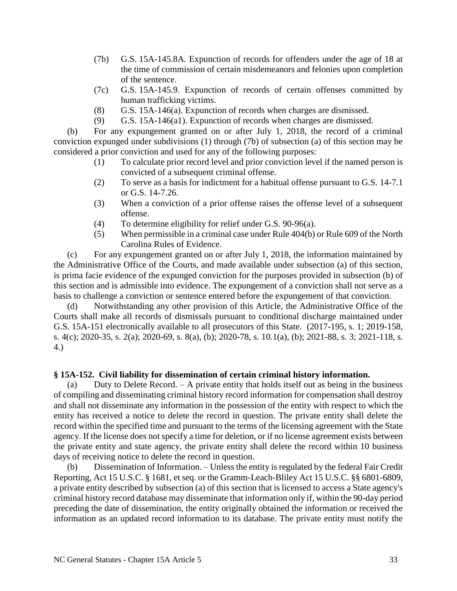- (7b) G.S. 15A-145.8A. Expunction of records for offenders under the age of 18 at the time of commission of certain misdemeanors and felonies upon completion of the sentence.
- (7c) G.S. 15A-145.9. Expunction of records of certain offenses committed by human trafficking victims.
- (8) G.S. 15A-146(a). Expunction of records when charges are dismissed.
- (9) G.S. 15A-146(a1). Expunction of records when charges are dismissed.

(b) For any expungement granted on or after July 1, 2018, the record of a criminal conviction expunged under subdivisions (1) through (7b) of subsection (a) of this section may be considered a prior conviction and used for any of the following purposes:

- (1) To calculate prior record level and prior conviction level if the named person is convicted of a subsequent criminal offense.
- (2) To serve as a basis for indictment for a habitual offense pursuant to G.S. 14-7.1 or G.S. 14-7.26.
- (3) When a conviction of a prior offense raises the offense level of a subsequent offense.
- (4) To determine eligibility for relief under G.S. 90-96(a).
- (5) When permissible in a criminal case under Rule 404(b) or Rule 609 of the North Carolina Rules of Evidence.

(c) For any expungement granted on or after July 1, 2018, the information maintained by the Administrative Office of the Courts, and made available under subsection (a) of this section, is prima facie evidence of the expunged conviction for the purposes provided in subsection (b) of this section and is admissible into evidence. The expungement of a conviction shall not serve as a basis to challenge a conviction or sentence entered before the expungement of that conviction.

(d) Notwithstanding any other provision of this Article, the Administrative Office of the Courts shall make all records of dismissals pursuant to conditional discharge maintained under G.S. 15A-151 electronically available to all prosecutors of this State. (2017-195, s. 1; 2019-158, s. 4(c); 2020-35, s. 2(a); 2020-69, s. 8(a), (b); 2020-78, s. 10.1(a), (b); 2021-88, s. 3; 2021-118, s. 4.)

### **§ 15A-152. Civil liability for dissemination of certain criminal history information.**

(a) Duty to Delete Record. – A private entity that holds itself out as being in the business of compiling and disseminating criminal history record information for compensation shall destroy and shall not disseminate any information in the possession of the entity with respect to which the entity has received a notice to delete the record in question. The private entity shall delete the record within the specified time and pursuant to the terms of the licensing agreement with the State agency. If the license does not specify a time for deletion, or if no license agreement exists between the private entity and state agency, the private entity shall delete the record within 10 business days of receiving notice to delete the record in question.

Dissemination of Information. – Unless the entity is regulated by the federal Fair Credit Reporting, Act 15 U.S.C. § 1681, et seq. or the Gramm-Leach-Bliley Act 15 U.S.C. §§ 6801-6809, a private entity described by subsection (a) of this section that is licensed to access a State agency's criminal history record database may disseminate that information only if, within the 90-day period preceding the date of dissemination, the entity originally obtained the information or received the information as an updated record information to its database. The private entity must notify the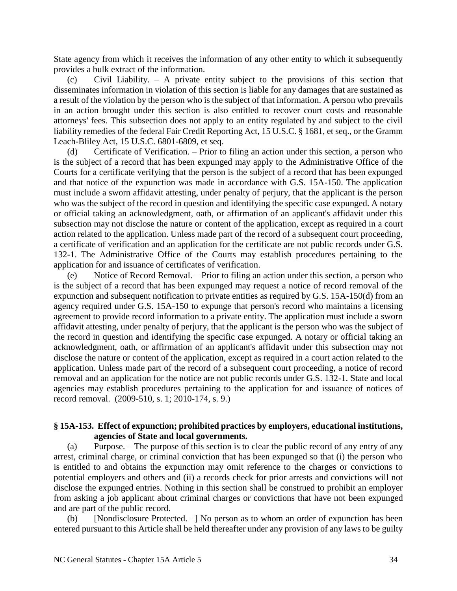State agency from which it receives the information of any other entity to which it subsequently provides a bulk extract of the information.

(c) Civil Liability. – A private entity subject to the provisions of this section that disseminates information in violation of this section is liable for any damages that are sustained as a result of the violation by the person who is the subject of that information. A person who prevails in an action brought under this section is also entitled to recover court costs and reasonable attorneys' fees. This subsection does not apply to an entity regulated by and subject to the civil liability remedies of the federal Fair Credit Reporting Act, 15 U.S.C. § 1681, et seq., or the Gramm Leach-Bliley Act, 15 U.S.C. 6801-6809, et seq.

(d) Certificate of Verification. – Prior to filing an action under this section, a person who is the subject of a record that has been expunged may apply to the Administrative Office of the Courts for a certificate verifying that the person is the subject of a record that has been expunged and that notice of the expunction was made in accordance with G.S. 15A-150. The application must include a sworn affidavit attesting, under penalty of perjury, that the applicant is the person who was the subject of the record in question and identifying the specific case expunged. A notary or official taking an acknowledgment, oath, or affirmation of an applicant's affidavit under this subsection may not disclose the nature or content of the application, except as required in a court action related to the application. Unless made part of the record of a subsequent court proceeding, a certificate of verification and an application for the certificate are not public records under G.S. 132-1. The Administrative Office of the Courts may establish procedures pertaining to the application for and issuance of certificates of verification.

(e) Notice of Record Removal. – Prior to filing an action under this section, a person who is the subject of a record that has been expunged may request a notice of record removal of the expunction and subsequent notification to private entities as required by G.S. 15A-150(d) from an agency required under G.S. 15A-150 to expunge that person's record who maintains a licensing agreement to provide record information to a private entity. The application must include a sworn affidavit attesting, under penalty of perjury, that the applicant is the person who was the subject of the record in question and identifying the specific case expunged. A notary or official taking an acknowledgment, oath, or affirmation of an applicant's affidavit under this subsection may not disclose the nature or content of the application, except as required in a court action related to the application. Unless made part of the record of a subsequent court proceeding, a notice of record removal and an application for the notice are not public records under G.S. 132-1. State and local agencies may establish procedures pertaining to the application for and issuance of notices of record removal. (2009-510, s. 1; 2010-174, s. 9.)

# **§ 15A-153. Effect of expunction; prohibited practices by employers, educational institutions, agencies of State and local governments.**

(a) Purpose. – The purpose of this section is to clear the public record of any entry of any arrest, criminal charge, or criminal conviction that has been expunged so that (i) the person who is entitled to and obtains the expunction may omit reference to the charges or convictions to potential employers and others and (ii) a records check for prior arrests and convictions will not disclose the expunged entries. Nothing in this section shall be construed to prohibit an employer from asking a job applicant about criminal charges or convictions that have not been expunged and are part of the public record.

(b) [Nondisclosure Protected. –] No person as to whom an order of expunction has been entered pursuant to this Article shall be held thereafter under any provision of any laws to be guilty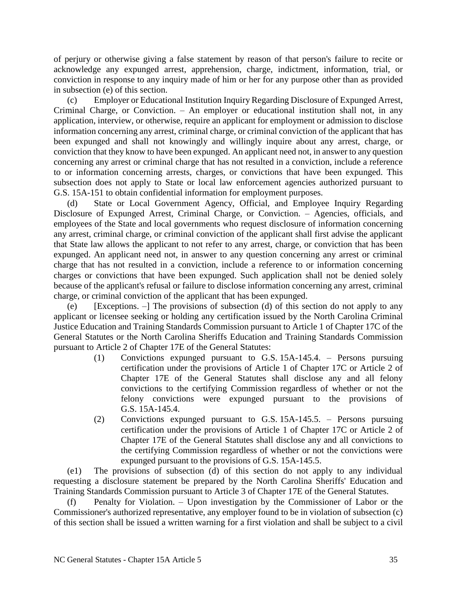of perjury or otherwise giving a false statement by reason of that person's failure to recite or acknowledge any expunged arrest, apprehension, charge, indictment, information, trial, or conviction in response to any inquiry made of him or her for any purpose other than as provided in subsection (e) of this section.

(c) Employer or Educational Institution Inquiry Regarding Disclosure of Expunged Arrest, Criminal Charge, or Conviction. – An employer or educational institution shall not, in any application, interview, or otherwise, require an applicant for employment or admission to disclose information concerning any arrest, criminal charge, or criminal conviction of the applicant that has been expunged and shall not knowingly and willingly inquire about any arrest, charge, or conviction that they know to have been expunged. An applicant need not, in answer to any question concerning any arrest or criminal charge that has not resulted in a conviction, include a reference to or information concerning arrests, charges, or convictions that have been expunged. This subsection does not apply to State or local law enforcement agencies authorized pursuant to G.S. 15A-151 to obtain confidential information for employment purposes.

(d) State or Local Government Agency, Official, and Employee Inquiry Regarding Disclosure of Expunged Arrest, Criminal Charge, or Conviction. – Agencies, officials, and employees of the State and local governments who request disclosure of information concerning any arrest, criminal charge, or criminal conviction of the applicant shall first advise the applicant that State law allows the applicant to not refer to any arrest, charge, or conviction that has been expunged. An applicant need not, in answer to any question concerning any arrest or criminal charge that has not resulted in a conviction, include a reference to or information concerning charges or convictions that have been expunged. Such application shall not be denied solely because of the applicant's refusal or failure to disclose information concerning any arrest, criminal charge, or criminal conviction of the applicant that has been expunged.

(e) [Exceptions. –] The provisions of subsection (d) of this section do not apply to any applicant or licensee seeking or holding any certification issued by the North Carolina Criminal Justice Education and Training Standards Commission pursuant to Article 1 of Chapter 17C of the General Statutes or the North Carolina Sheriffs Education and Training Standards Commission pursuant to Article 2 of Chapter 17E of the General Statutes:

- (1) Convictions expunged pursuant to G.S. 15A-145.4. Persons pursuing certification under the provisions of Article 1 of Chapter 17C or Article 2 of Chapter 17E of the General Statutes shall disclose any and all felony convictions to the certifying Commission regardless of whether or not the felony convictions were expunged pursuant to the provisions of G.S. 15A-145.4.
- (2) Convictions expunged pursuant to G.S. 15A-145.5. Persons pursuing certification under the provisions of Article 1 of Chapter 17C or Article 2 of Chapter 17E of the General Statutes shall disclose any and all convictions to the certifying Commission regardless of whether or not the convictions were expunged pursuant to the provisions of G.S. 15A-145.5.

(e1) The provisions of subsection (d) of this section do not apply to any individual requesting a disclosure statement be prepared by the North Carolina Sheriffs' Education and Training Standards Commission pursuant to Article 3 of Chapter 17E of the General Statutes.

Penalty for Violation. – Upon investigation by the Commissioner of Labor or the Commissioner's authorized representative, any employer found to be in violation of subsection (c) of this section shall be issued a written warning for a first violation and shall be subject to a civil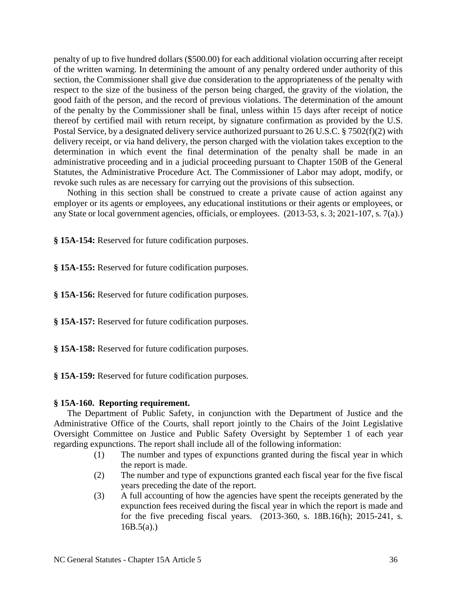penalty of up to five hundred dollars (\$500.00) for each additional violation occurring after receipt of the written warning. In determining the amount of any penalty ordered under authority of this section, the Commissioner shall give due consideration to the appropriateness of the penalty with respect to the size of the business of the person being charged, the gravity of the violation, the good faith of the person, and the record of previous violations. The determination of the amount of the penalty by the Commissioner shall be final, unless within 15 days after receipt of notice thereof by certified mail with return receipt, by signature confirmation as provided by the U.S. Postal Service, by a designated delivery service authorized pursuant to 26 U.S.C. § 7502(f)(2) with delivery receipt, or via hand delivery, the person charged with the violation takes exception to the determination in which event the final determination of the penalty shall be made in an administrative proceeding and in a judicial proceeding pursuant to Chapter 150B of the General Statutes, the Administrative Procedure Act. The Commissioner of Labor may adopt, modify, or revoke such rules as are necessary for carrying out the provisions of this subsection.

Nothing in this section shall be construed to create a private cause of action against any employer or its agents or employees, any educational institutions or their agents or employees, or any State or local government agencies, officials, or employees. (2013-53, s. 3; 2021-107, s. 7(a).)

**§ 15A-154:** Reserved for future codification purposes.

**§ 15A-155:** Reserved for future codification purposes.

**§ 15A-156:** Reserved for future codification purposes.

**§ 15A-157:** Reserved for future codification purposes.

**§ 15A-158:** Reserved for future codification purposes.

**§ 15A-159:** Reserved for future codification purposes.

### **§ 15A-160. Reporting requirement.**

The Department of Public Safety, in conjunction with the Department of Justice and the Administrative Office of the Courts, shall report jointly to the Chairs of the Joint Legislative Oversight Committee on Justice and Public Safety Oversight by September 1 of each year regarding expunctions. The report shall include all of the following information:

- (1) The number and types of expunctions granted during the fiscal year in which the report is made.
- (2) The number and type of expunctions granted each fiscal year for the five fiscal years preceding the date of the report.
- (3) A full accounting of how the agencies have spent the receipts generated by the expunction fees received during the fiscal year in which the report is made and for the five preceding fiscal years. (2013-360, s. 18B.16(h); 2015-241, s.  $16B.5(a)$ .)